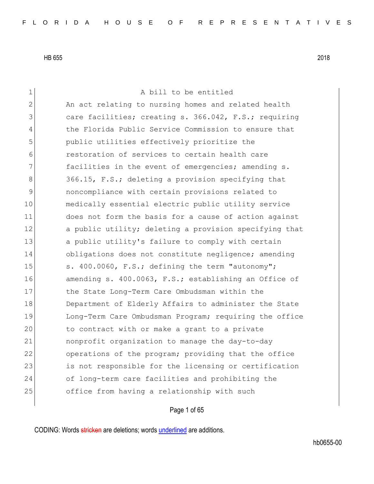1 a bill to be entitled 2 An act relating to nursing homes and related health 3 3 care facilities; creating s. 366.042, F.S.; requiring 4 the Florida Public Service Commission to ensure that 5 public utilities effectively prioritize the 6 restoration of services to certain health care 7 **facilities in the event of emergencies; amending s.** 8 366.15, F.S.; deleting a provision specifying that 9 noncompliance with certain provisions related to 10 medically essential electric public utility service 11 does not form the basis for a cause of action against 12 a public utility; deleting a provision specifying that 13 a public utility's failure to comply with certain 14 obligations does not constitute negligence; amending 15 s. 400.0060, F.S.; defining the term "autonomy"; 16 amending s. 400.0063, F.S.; establishing an Office of 17 the State Long-Term Care Ombudsman within the 18 Department of Elderly Affairs to administer the State 19 Long-Term Care Ombudsman Program; requiring the office 20 to contract with or make a grant to a private 21 nonprofit organization to manage the day-to-day 22 operations of the program; providing that the office 23 is not responsible for the licensing or certification 24 of long-term care facilities and prohibiting the 25 office from having a relationship with such

# Page 1 of 65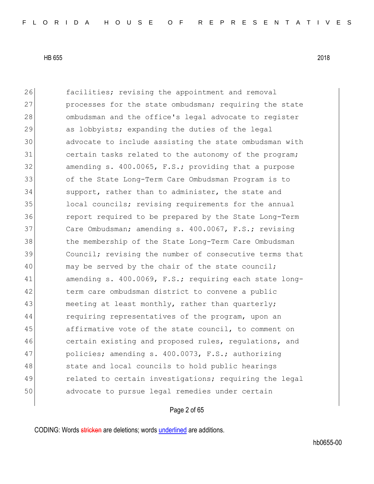26 **facilities;** revising the appointment and removal 27 processes for the state ombudsman; requiring the state 28 ombudsman and the office's legal advocate to register 29 as lobbyists; expanding the duties of the legal 30 advocate to include assisting the state ombudsman with 31 certain tasks related to the autonomy of the program; 32 amending s. 400.0065, F.S.; providing that a purpose 33 of the State Long-Term Care Ombudsman Program is to 34 support, rather than to administer, the state and 35 local councils; revising requirements for the annual 36 report required to be prepared by the State Long-Term 37 Care Ombudsman; amending s. 400.0067, F.S.; revising 38 the membership of the State Long-Term Care Ombudsman 39 Council; revising the number of consecutive terms that 40 may be served by the chair of the state council; 41 amending s. 400.0069, F.S.; requiring each state long-42 term care ombudsman district to convene a public 43 meeting at least monthly, rather than quarterly; 44 requiring representatives of the program, upon an 45 affirmative vote of the state council, to comment on 46 certain existing and proposed rules, regulations, and 47 policies; amending s. 400.0073, F.S.; authorizing 48 state and local councils to hold public hearings 49 related to certain investigations; requiring the legal 50 advocate to pursue legal remedies under certain

### Page 2 of 65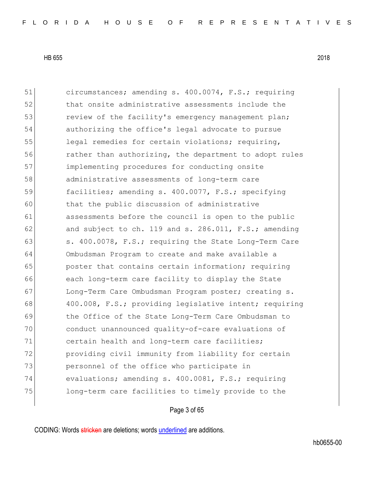51 circumstances; amending s. 400.0074, F.S.; requiring 52 that onsite administrative assessments include the 53 review of the facility's emergency management plan; 54 authorizing the office's legal advocate to pursue 55 legal remedies for certain violations; requiring, 56 rather than authorizing, the department to adopt rules 57 implementing procedures for conducting onsite 58 administrative assessments of long-term care 59 facilities; amending s. 400.0077, F.S.; specifying 60 that the public discussion of administrative 61 assessments before the council is open to the public 62 and subject to ch. 119 and s. 286.011,  $F.S.;$  amending 63 s. 400.0078, F.S.; requiring the State Long-Term Care 64 Ombudsman Program to create and make available a 65 **poster that contains certain information; requiring** 66 each long-term care facility to display the State 67 Long-Term Care Ombudsman Program poster; creating s. 68 400.008, F.S.; providing legislative intent; requiring 69 the Office of the State Long-Term Care Ombudsman to 70 conduct unannounced quality-of-care evaluations of 71 certain health and long-term care facilities; 72 **providing civil immunity from liability for certain** 73 personnel of the office who participate in 74 evaluations; amending s. 400.0081, F.S.; requiring 75 long-term care facilities to timely provide to the

#### Page 3 of 65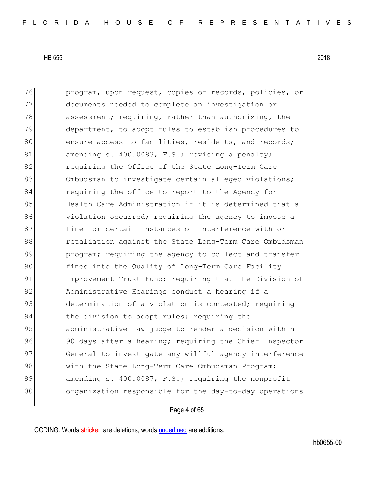76 program, upon request, copies of records, policies, or 77 documents needed to complete an investigation or 78 assessment; requiring, rather than authorizing, the 79 department, to adopt rules to establish procedures to 80 ensure access to facilities, residents, and records; 81 amending s. 400.0083, F.S.; revising a penalty; 82 **requiring the Office of the State Long-Term Care** 83 Ombudsman to investigate certain alleged violations; 84 requiring the office to report to the Agency for 85 Health Care Administration if it is determined that a 86 violation occurred; requiring the agency to impose a 87 fine for certain instances of interference with or 88 retaliation against the State Long-Term Care Ombudsman 89 program; requiring the agency to collect and transfer 90 fines into the Quality of Long-Term Care Facility 91 Improvement Trust Fund; requiring that the Division of 92 Administrative Hearings conduct a hearing if a 93 determination of a violation is contested; requiring 94 the division to adopt rules; requiring the 95 administrative law judge to render a decision within 96 90 days after a hearing; requiring the Chief Inspector 97 General to investigate any willful agency interference 98 with the State Long-Term Care Ombudsman Program; 99 amending s. 400.0087, F.S.; requiring the nonprofit 100 organization responsible for the day-to-day operations

# Page 4 of 65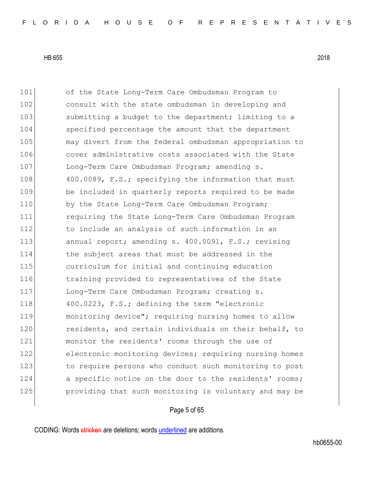101 of the State Long-Term Care Ombudsman Program to 102 consult with the state ombudsman in developing and 103 submitting a budget to the department; limiting to a 104 specified percentage the amount that the department 105 may divert from the federal ombudsman appropriation to 106 cover administrative costs associated with the State 107 Long-Term Care Ombudsman Program; amending s. 108 400.0089, F.S.; specifying the information that must 109 be included in quarterly reports required to be made 110 by the State Long-Term Care Ombudsman Program; 111 requiring the State Long-Term Care Ombudsman Program 112 to include an analysis of such information in an 113 annual report; amending s. 400.0091, F.S.; revising 114 the subject areas that must be addressed in the 115 curriculum for initial and continuing education 116 10 training provided to representatives of the State 117 Long-Term Care Ombudsman Program; creating s. 118 400.0223, F.S.; defining the term "electronic 119 monitoring device"; requiring nursing homes to allow 120 residents, and certain individuals on their behalf, to 121 monitor the residents' rooms through the use of 122 electronic monitoring devices; requiring nursing homes 123 to require persons who conduct such monitoring to post 124 a specific notice on the door to the residents' rooms; 125 **providing that such monitoring is voluntary and may be** 

# Page 5 of 65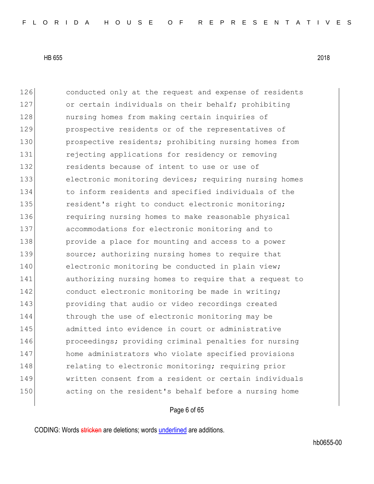126 conducted only at the request and expense of residents 127 or certain individuals on their behalf; prohibiting 128 **nursing homes from making certain inquiries of** 129 prospective residents or of the representatives of 130 **prospective residents;** prohibiting nursing homes from 131 rejecting applications for residency or removing 132 **132** residents because of intent to use or use of 133 electronic monitoring devices; requiring nursing homes 134 to inform residents and specified individuals of the 135 resident's right to conduct electronic monitoring; 136 requiring nursing homes to make reasonable physical 137 accommodations for electronic monitoring and to 138 **provide a place for mounting and access to a power** 139 source; authorizing nursing homes to require that 140 electronic monitoring be conducted in plain view; 141 authorizing nursing homes to require that a request to 142 conduct electronic monitoring be made in writing; 143 providing that audio or video recordings created 144 through the use of electronic monitoring may be 145 admitted into evidence in court or administrative 146 **proceedings;** providing criminal penalties for nursing 147 home administrators who violate specified provisions 148 relating to electronic monitoring; requiring prior 149 written consent from a resident or certain individuals 150 acting on the resident's behalf before a nursing home

Page 6 of 65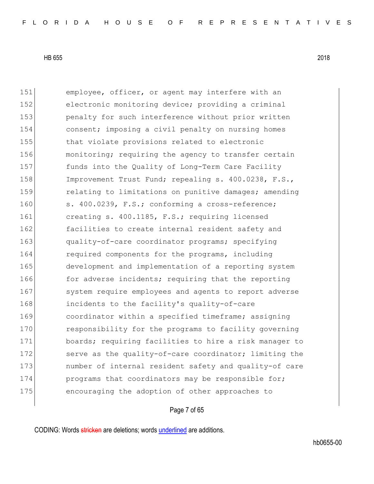151 employee, officer, or agent may interfere with an 152 electronic monitoring device; providing a criminal 153 penalty for such interference without prior written 154 consent; imposing a civil penalty on nursing homes 155 that violate provisions related to electronic 156 monitoring; requiring the agency to transfer certain 157 funds into the Quality of Long-Term Care Facility 158 Improvement Trust Fund; repealing s. 400.0238, F.S., 159 **relating to limitations on punitive damages; amending** 160 s. 400.0239, F.S.; conforming a cross-reference; 161 creating s. 400.1185, F.S.; requiring licensed 162 **facilities to create internal resident safety and** 163 quality-of-care coordinator programs; specifying 164 required components for the programs, including 165 development and implementation of a reporting system 166 for adverse incidents; requiring that the reporting 167 system require employees and agents to report adverse 168 incidents to the facility's quality-of-care 169 coordinator within a specified timeframe; assigning 170 responsibility for the programs to facility governing 171 boards; requiring facilities to hire a risk manager to 172 serve as the quality-of-care coordinator; limiting the 173 **number** of internal resident safety and quality-of care 174 **programs that coordinators may be responsible for;** 175 encouraging the adoption of other approaches to

# Page 7 of 65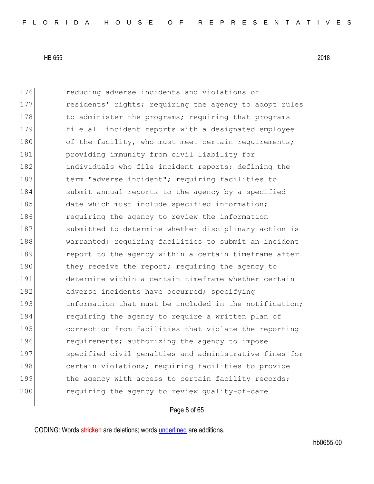176 **reducing adverse incidents and violations of** 177 residents' rights; requiring the agency to adopt rules 178 to administer the programs; requiring that programs 179 file all incident reports with a designated employee 180 of the facility, who must meet certain requirements; 181 **providing immunity from civil liability for** 182 individuals who file incident reports; defining the 183 term "adverse incident"; requiring facilities to 184 submit annual reports to the agency by a specified 185 date which must include specified information; 186 requiring the agency to review the information 187 submitted to determine whether disciplinary action is 188 warranted; requiring facilities to submit an incident 189 **report to the agency within a certain timeframe after** 190 they receive the report; requiring the agency to 191 determine within a certain timeframe whether certain 192 adverse incidents have occurred; specifying 193 information that must be included in the notification; 194 requiring the agency to require a written plan of 195 correction from facilities that violate the reporting 196 requirements; authorizing the agency to impose 197 specified civil penalties and administrative fines for 198 certain violations; requiring facilities to provide 199 the agency with access to certain facility records; 200 requiring the agency to review quality-of-care

# Page 8 of 65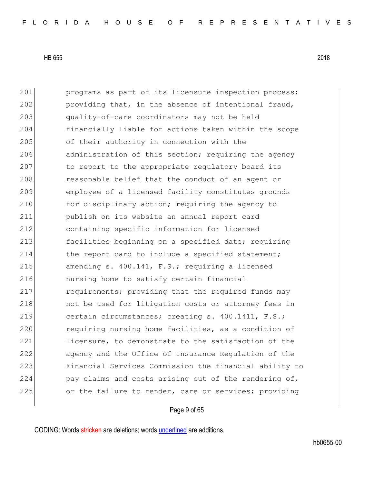201 **programs as part of its licensure inspection process;** 202 providing that, in the absence of intentional fraud, 203 quality-of-care coordinators may not be held 204 financially liable for actions taken within the scope 205 of their authority in connection with the 206 administration of this section; requiring the agency 207 to report to the appropriate regulatory board its 208 reasonable belief that the conduct of an agent or 209 employee of a licensed facility constitutes grounds 210 for disciplinary action; requiring the agency to 211 publish on its website an annual report card 212 containing specific information for licensed 213 **facilities beginning on a specified date; requiring** 214 the report card to include a specified statement; 215  $\vert$  amending s. 400.141, F.S.; requiring a licensed 216 nursing home to satisfy certain financial 217 requirements; providing that the required funds may 218 and the used for litigation costs or attorney fees in 219 certain circumstances; creating s. 400.1411, F.S.; 220 requiring nursing home facilities, as a condition of 221 licensure, to demonstrate to the satisfaction of the 222 agency and the Office of Insurance Regulation of the 223 Financial Services Commission the financial ability to 224 pay claims and costs arising out of the rendering of, 225 or the failure to render, care or services; providing

# Page 9 of 65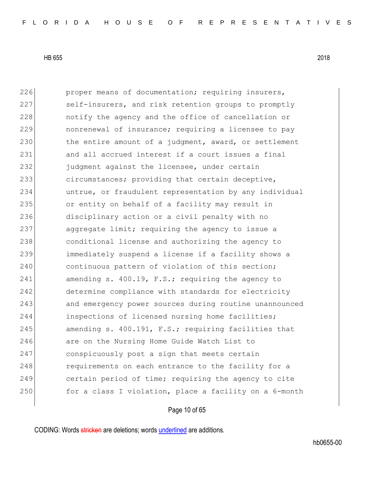226 proper means of documentation; requiring insurers, 227 self-insurers, and risk retention groups to promptly 228 **hologet** notify the agency and the office of cancellation or 229 nonrenewal of insurance; requiring a licensee to pay 230 the entire amount of a judgment, award, or settlement 231 and all accrued interest if a court issues a final 232 **judgment against the licensee, under certain** 233 circumstances; providing that certain deceptive, 234 untrue, or fraudulent representation by any individual 235 or entity on behalf of a facility may result in 236 disciplinary action or a civil penalty with no 237 aggregate limit; requiring the agency to issue a 238 conditional license and authorizing the agency to 239 immediately suspend a license if a facility shows a 240 continuous pattern of violation of this section; 241 amending s. 400.19, F.S.; requiring the agency to 242 determine compliance with standards for electricity 243 and emergency power sources during routine unannounced 244 inspections of licensed nursing home facilities; 245 amending s.  $400.191$ , F.S.; requiring facilities that 246 are on the Nursing Home Guide Watch List to 247 conspicuously post a sign that meets certain 248 requirements on each entrance to the facility for a 249 certain period of time; requiring the agency to cite 250 for a class I violation, place a facility on a 6-month

# Page 10 of 65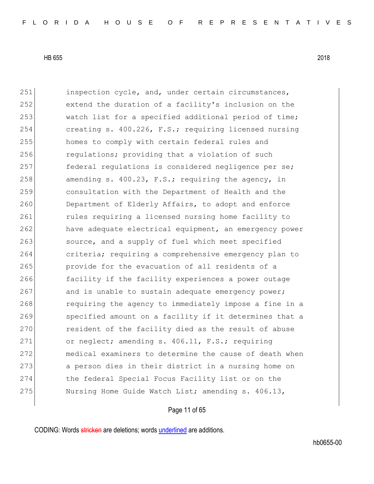251 inspection cycle, and, under certain circumstances, 252 extend the duration of a facility's inclusion on the 253 watch list for a specified additional period of time; 254 creating s. 400.226, F.S.; requiring licensed nursing 255 homes to comply with certain federal rules and 256 regulations; providing that a violation of such 257 federal regulations is considered negligence per se; 258 amending s.  $400.23$ , F.S.; requiring the agency, in 259 consultation with the Department of Health and the 260 Department of Elderly Affairs, to adopt and enforce 261 cules requiring a licensed nursing home facility to 262 have adequate electrical equipment, an emergency power 263 source, and a supply of fuel which meet specified 264 criteria; requiring a comprehensive emergency plan to 265 provide for the evacuation of all residents of a 266 facility if the facility experiences a power outage 267 and is unable to sustain adequate emergency power; 268 requiring the agency to immediately impose a fine in a 269 specified amount on a facility if it determines that a 270 resident of the facility died as the result of abuse 271 or neglect; amending s. 406.11, F.S.; requiring 272 medical examiners to determine the cause of death when 273 a person dies in their district in a nursing home on 274 the federal Special Focus Facility list or on the 275 Nursing Home Guide Watch List; amending s. 406.13,

# Page 11 of 65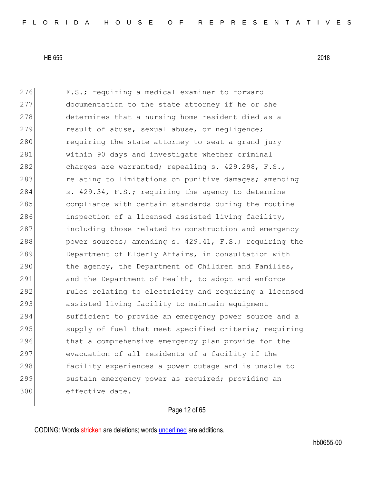276 F.S.; requiring a medical examiner to forward 277 documentation to the state attorney if he or she 278 determines that a nursing home resident died as a 279 result of abuse, sexual abuse, or negligence; 280 requiring the state attorney to seat a grand jury 281 within 90 days and investigate whether criminal 282 charges are warranted; repealing s. 429.298, F.S., 283 relating to limitations on punitive damages; amending 284 s. 429.34, F.S.; requiring the agency to determine 285 compliance with certain standards during the routine 286 inspection of a licensed assisted living facility, 287 including those related to construction and emergency 288 power sources; amending s. 429.41, F.S.; requiring the 289 Department of Elderly Affairs, in consultation with 290 the agency, the Department of Children and Families, 291 and the Department of Health, to adopt and enforce 292 **rules relating to electricity and requiring a licensed** 293 assisted living facility to maintain equipment 294 sufficient to provide an emergency power source and a 295 supply of fuel that meet specified criteria; requiring 296 that a comprehensive emergency plan provide for the 297 evacuation of all residents of a facility if the 298 facility experiences a power outage and is unable to 299 sustain emergency power as required; providing an 300 effective date.

# Page 12 of 65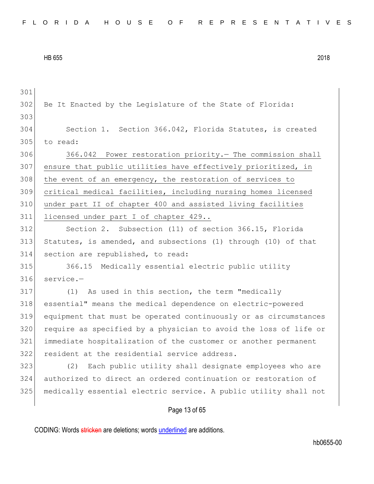302 Be It Enacted by the Legislature of the State of Florida: Section 1. Section 366.042, Florida Statutes, is created to read: 366.042 Power restoration priority.— The commission shall ensure that public utilities have effectively prioritized, in 308 the event of an emergency, the restoration of services to critical medical facilities, including nursing homes licensed under part II of chapter 400 and assisted living facilities 311 licensed under part I of chapter 429.. Section 2. Subsection (11) of section 366.15, Florida Statutes, is amended, and subsections (1) through (10) of that section are republished, to read: 366.15 Medically essential electric public utility service.— (1) As used in this section, the term "medically essential" means the medical dependence on electric-powered equipment that must be operated continuously or as circumstances 320 require as specified by a physician to avoid the loss of life or immediate hospitalization of the customer or another permanent resident at the residential service address. (2) Each public utility shall designate employees who are authorized to direct an ordered continuation or restoration of medically essential electric service. A public utility shall not

# Page 13 of 65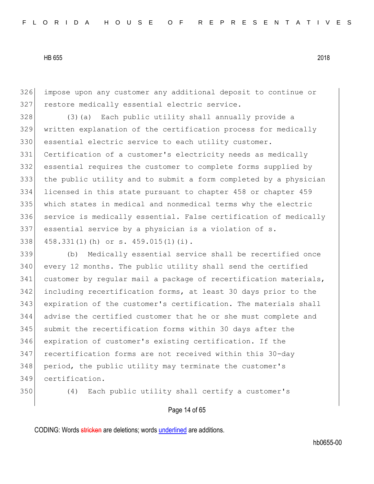impose upon any customer any additional deposit to continue or 327 restore medically essential electric service.

328 (3) (a) Each public utility shall annually provide a written explanation of the certification process for medically 330 essential electric service to each utility customer. Certification of a customer's electricity needs as medically essential requires the customer to complete forms supplied by the public utility and to submit a form completed by a physician licensed in this state pursuant to chapter 458 or chapter 459 which states in medical and nonmedical terms why the electric 336 service is medically essential. False certification of medically essential service by a physician is a violation of s. 458.331(1)(h) or s. 459.015(1)(i).

 (b) Medically essential service shall be recertified once every 12 months. The public utility shall send the certified 341 customer by regular mail a package of recertification materials, including recertification forms, at least 30 days prior to the expiration of the customer's certification. The materials shall advise the certified customer that he or she must complete and submit the recertification forms within 30 days after the expiration of customer's existing certification. If the recertification forms are not received within this 30-day 348 period, the public utility may terminate the customer's certification.

(4) Each public utility shall certify a customer's

Page 14 of 65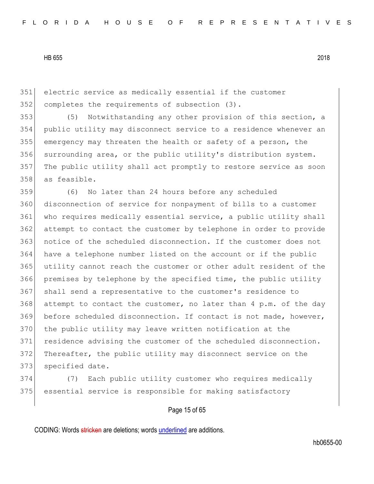351 electric service as medically essential if the customer 352 completes the requirements of subsection (3).

 (5) Notwithstanding any other provision of this section, a public utility may disconnect service to a residence whenever an emergency may threaten the health or safety of a person, the 356 surrounding area, or the public utility's distribution system. The public utility shall act promptly to restore service as soon as feasible.

359 (6) No later than 24 hours before any scheduled 360 disconnection of service for nonpayment of bills to a customer 361 who requires medically essential service, a public utility shall 362 attempt to contact the customer by telephone in order to provide 363 notice of the scheduled disconnection. If the customer does not 364 have a telephone number listed on the account or if the public 365 utility cannot reach the customer or other adult resident of the 366 premises by telephone by the specified time, the public utility 367 shall send a representative to the customer's residence to 368 attempt to contact the customer, no later than 4 p.m. of the day 369 before scheduled disconnection. If contact is not made, however, 370 the public utility may leave written notification at the 371 residence advising the customer of the scheduled disconnection. 372 Thereafter, the public utility may disconnect service on the 373 specified date.

374 (7) Each public utility customer who requires medically 375 essential service is responsible for making satisfactory

# Page 15 of 65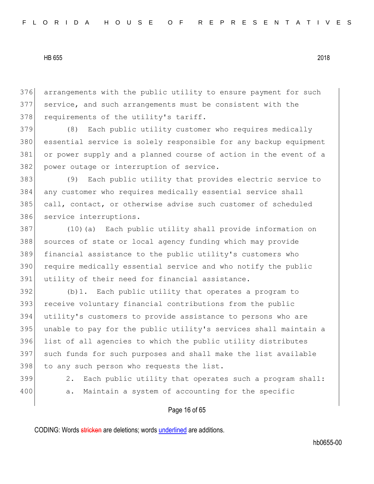376 arrangements with the public utility to ensure payment for such 377 service, and such arrangements must be consistent with the 378 requirements of the utility's tariff.

 (8) Each public utility customer who requires medically essential service is solely responsible for any backup equipment or power supply and a planned course of action in the event of a 382 power outage or interruption of service.

 (9) Each public utility that provides electric service to any customer who requires medically essential service shall call, contact, or otherwise advise such customer of scheduled 386 service interruptions.

387 (10)(a) Each public utility shall provide information on 388 sources of state or local agency funding which may provide 389 financial assistance to the public utility's customers who 390 require medically essential service and who notify the public 391 utility of their need for financial assistance.

 (b)1. Each public utility that operates a program to receive voluntary financial contributions from the public utility's customers to provide assistance to persons who are unable to pay for the public utility's services shall maintain a list of all agencies to which the public utility distributes such funds for such purposes and shall make the list available 398 to any such person who requests the list.

- 
- 

399 2. Each public utility that operates such a program shall: 400 a. Maintain a system of accounting for the specific

# Page 16 of 65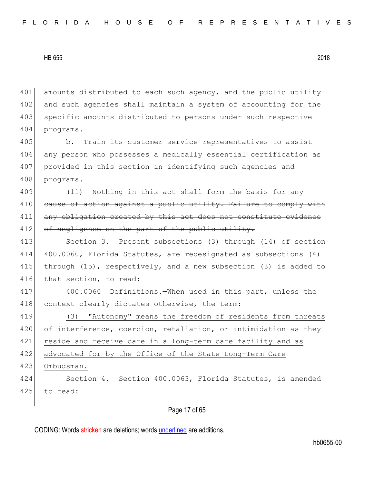401 amounts distributed to each such agency, and the public utility 402 and such agencies shall maintain a system of accounting for the 403 specific amounts distributed to persons under such respective 404 programs.

405 b. Train its customer service representatives to assist 406 any person who possesses a medically essential certification as 407 provided in this section in identifying such agencies and 408 programs.

409 (11) Nothing in this act shall form the basis for any 410 cause of action against a public utility. Failure to comply with 411 any obligation created by this act does not constitute evidence 412 of negligence on the part of the public utility.

 Section 3. Present subsections (3) through (14) of section 400.0060, Florida Statutes, are redesignated as subsections (4) through (15), respectively, and a new subsection (3) is added to 416 that section, to read:

417 400.0060 Definitions.—When used in this part, unless the 418 context clearly dictates otherwise, the term:

419 (3) "Autonomy" means the freedom of residents from threats 420 of interference, coercion, retaliation, or intimidation as they 421 reside and receive care in a long-term care facility and as 422 advocated for by the Office of the State Long-Term Care 423 Ombudsman.

424 Section 4. Section 400.0063, Florida Statutes, is amended 425 to read:

# Page 17 of 65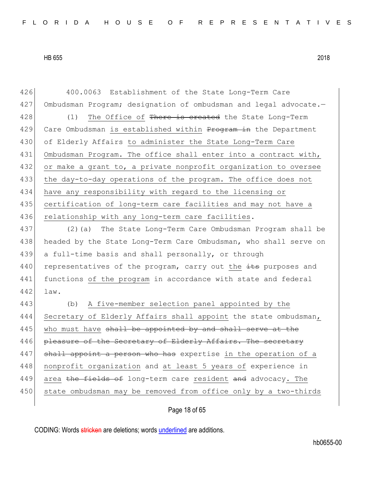426 400.0063 Establishment of the State Long-Term Care 427 Ombudsman Program; designation of ombudsman and legal advocate.-428 (1) The Office of There is created the State Long-Term 429 Care Ombudsman is established within Program in the Department 430 of Elderly Affairs to administer the State Long-Term Care 431 Ombudsman Program. The office shall enter into a contract with, 432 or make a grant to, a private nonprofit organization to oversee 433 the day-to-day operations of the program. The office does not 434 have any responsibility with regard to the licensing or 435 certification of long-term care facilities and may not have a 436 relationship with any long-term care facilities.

437 (2)(a) The State Long-Term Care Ombudsman Program shall be 438 headed by the State Long-Term Care Ombudsman, who shall serve on 439 a full-time basis and shall personally, or through 440 representatives of the program, carry out the  $\pm t$  purposes and 441 functions of the program in accordance with state and federal 442 law.

443 (b) A five-member selection panel appointed by the 444 Secretary of Elderly Affairs shall appoint the state ombudsman,  $445$  who must have shall be appointed by and shall serve at the 446 pleasure of the Secretary of Elderly Affairs. The secretary 447 shall appoint a person who has expertise in the operation of a 448 | nonprofit organization and at least 5 years of experience in 449 area the fields of long-term care resident and advocacy. The 450 state ombudsman may be removed from office only by a two-thirds

Page 18 of 65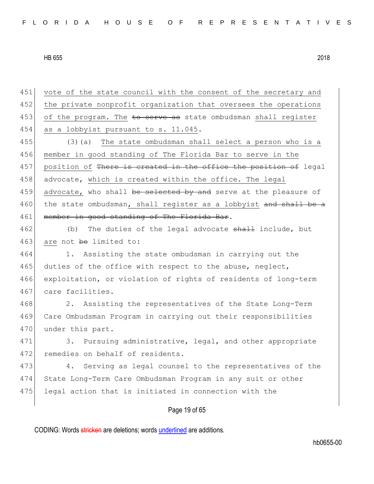Page 19 of 65 451 vote of the state council with the consent of the secretary and 452 the private nonprofit organization that oversees the operations 453 of the program. The to serve as state ombudsman shall register 454 as a lobbyist pursuant to s.  $11.045$ . 455 (3)(a) The state ombudsman shall select a person who is a 456 member in good standing of The Florida Bar to serve in the 457 position of There is created in the office the position of legal 458 advocate, which is created within the office. The legal 459 advocate, who shall be selected by and serve at the pleasure of 460 the state ombudsman, shall register as a lobbyist and shall be a 461 member in good standing of The Florida Bar. 462 (b) The duties of the legal advocate shall include, but 463 are not be limited to: 464 1. Assisting the state ombudsman in carrying out the 465 duties of the office with respect to the abuse, neglect, 466 exploitation, or violation of rights of residents of long-term 467 care facilities. 468 2. Assisting the representatives of the State Long-Term 469 Care Ombudsman Program in carrying out their responsibilities 470 under this part. 471 3. Pursuing administrative, legal, and other appropriate 472 remedies on behalf of residents. 473 4. Serving as legal counsel to the representatives of the 474 State Long-Term Care Ombudsman Program in any suit or other 475 legal action that is initiated in connection with the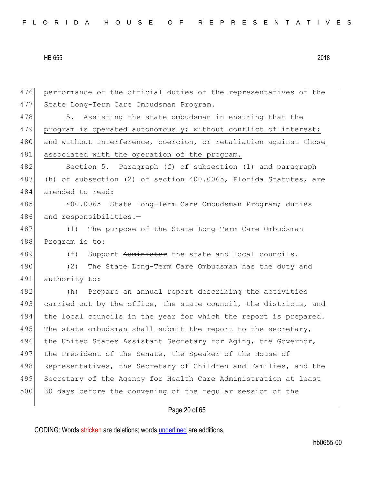|  |  |  |  |  |  |  |  |  |  | FLORIDA HOUSE OF REPRESENTATIVES |  |  |  |  |  |  |  |  |  |  |  |  |  |  |  |  |
|--|--|--|--|--|--|--|--|--|--|----------------------------------|--|--|--|--|--|--|--|--|--|--|--|--|--|--|--|--|
|--|--|--|--|--|--|--|--|--|--|----------------------------------|--|--|--|--|--|--|--|--|--|--|--|--|--|--|--|--|

476 performance of the official duties of the representatives of the 477 State Long-Term Care Ombudsman Program. 478 5. Assisting the state ombudsman in ensuring that the 479 program is operated autonomously; without conflict of interest; 480 and without interference, coercion, or retaliation against those 481 associated with the operation of the program. 482 Section 5. Paragraph (f) of subsection (1) and paragraph 483 (h) of subsection (2) of section 400.0065, Florida Statutes, are 484 amended to read: 485 400.0065 State Long-Term Care Ombudsman Program; duties 486 and responsibilities.-487 (1) The purpose of the State Long-Term Care Ombudsman 488 Program is to: 489 (f) Support Administer the state and local councils. 490 (2) The State Long-Term Care Ombudsman has the duty and 491 authority to: 492 (h) Prepare an annual report describing the activities 493 carried out by the office, the state council, the districts, and 494 the local councils in the year for which the report is prepared. 495 The state ombudsman shall submit the report to the secretary, 496 the United States Assistant Secretary for Aging, the Governor, 497 the President of the Senate, the Speaker of the House of 498 Representatives, the Secretary of Children and Families, and the 499 Secretary of the Agency for Health Care Administration at least 500 30 days before the convening of the regular session of the

# Page 20 of 65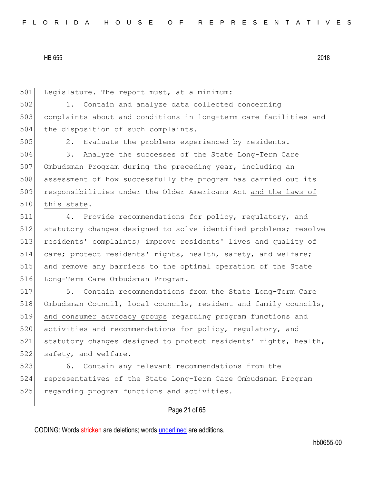501 Legislature. The report must, at a minimum:

502 1. Contain and analyze data collected concerning 503 complaints about and conditions in long-term care facilities and 504 the disposition of such complaints.

505 2. Evaluate the problems experienced by residents.

 3. Analyze the successes of the State Long-Term Care Ombudsman Program during the preceding year, including an assessment of how successfully the program has carried out its responsibilities under the Older Americans Act and the laws of 510 this state.

511 4. Provide recommendations for policy, regulatory, and 512 statutory changes designed to solve identified problems; resolve 513 residents' complaints; improve residents' lives and quality of 514 care; protect residents' rights, health, safety, and welfare; 515 and remove any barriers to the optimal operation of the State 516 Long-Term Care Ombudsman Program.

517 5. Contain recommendations from the State Long-Term Care 518 Ombudsman Council, local councils, resident and family councils, 519 and consumer advocacy groups regarding program functions and 520 activities and recommendations for policy, requlatory, and 521 statutory changes designed to protect residents' rights, health, 522 safety, and welfare.

523 6. Contain any relevant recommendations from the 524 representatives of the State Long-Term Care Ombudsman Program 525 regarding program functions and activities.

# Page 21 of 65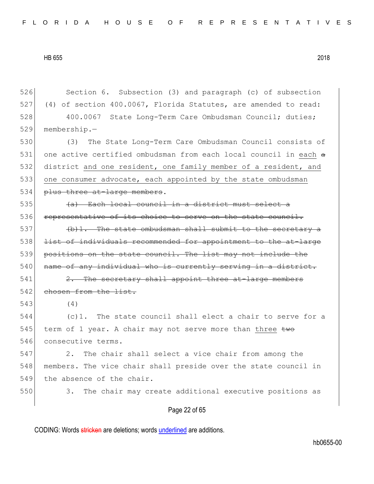526 Section 6. Subsection (3) and paragraph (c) of subsection 527 (4) of section 400.0067, Florida Statutes, are amended to read: 528 400.0067 State Long-Term Care Ombudsman Council; duties; 529 membership.— 530 (3) The State Long-Term Care Ombudsman Council consists of

531 one active certified ombudsman from each local council in each a 532 district and one resident, one family member of a resident, and 533 one consumer advocate, each appointed by the state ombudsman 534 plus three at-large members.

535  $(a)$  Each local council in a district must select a 536 representative of its choice to serve on the state council.

 $537$  (b)1. The state ombudsman shall submit to the secretary a 538 l<del>ist of individuals recommended for appointment to the at-large</del> 539 positions on the state council. The list may not include the 540 name of any individual who is currently serving in a district.

541 2. The secretary shall appoint three at-large members 542 chosen from the list.

543 (4)

544 (c)1. The state council shall elect a chair to serve for a 545 term of 1 year. A chair may not serve more than three  $t_{w\sigma}$ 546 consecutive terms.

547 2. The chair shall select a vice chair from among the 548 members. The vice chair shall preside over the state council in 549 the absence of the chair.

550 3. The chair may create additional executive positions as

# Page 22 of 65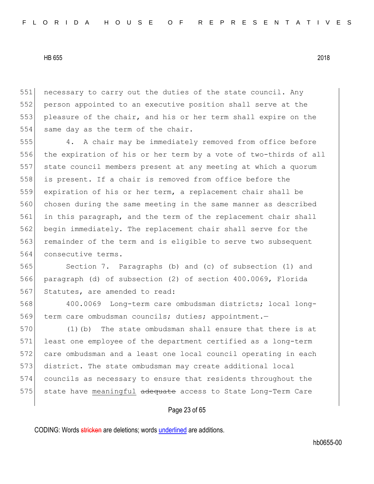necessary to carry out the duties of the state council. Any person appointed to an executive position shall serve at the pleasure of the chair, and his or her term shall expire on the 554 same day as the term of the chair.

555 4. A chair may be immediately removed from office before 556 the expiration of his or her term by a vote of two-thirds of all 557 state council members present at any meeting at which a quorum 558 is present. If a chair is removed from office before the 559 expiration of his or her term, a replacement chair shall be 560 chosen during the same meeting in the same manner as described 561 in this paragraph, and the term of the replacement chair shall 562 begin immediately. The replacement chair shall serve for the 563 remainder of the term and is eligible to serve two subsequent 564 consecutive terms.

565 Section 7. Paragraphs (b) and (c) of subsection (1) and 566 paragraph (d) of subsection (2) of section 400.0069, Florida 567 Statutes, are amended to read:

568 400.0069 Long-term care ombudsman districts; local long-569 term care ombudsman councils; duties; appointment.—

 (1)(b) The state ombudsman shall ensure that there is at least one employee of the department certified as a long-term care ombudsman and a least one local council operating in each district. The state ombudsman may create additional local councils as necessary to ensure that residents throughout the 575 state have meaningful adequate access to State Long-Term Care

# Page 23 of 65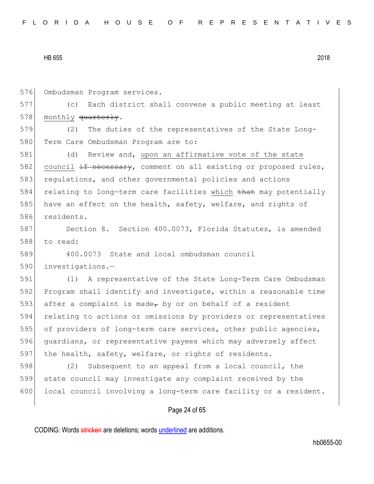576 Ombudsman Program services.

577 (c) Each district shall convene a public meeting at least 578 monthly quarterly.

579 (2) The duties of the representatives of the State Long-580 Term Care Ombudsman Program are to:

581 (d) Review and, upon an affirmative vote of the state 582 council if necessary, comment on all existing or proposed rules, 583 regulations, and other governmental policies and actions 584 relating to long-term care facilities which  $t$  that may potentially 585 have an effect on the health, safety, welfare, and rights of 586 residents.

587 Section 8. Section 400.0073, Florida Statutes, is amended 588 to read:

589 400.0073 State and local ombudsman council 590 investigations.—

591 (1) A representative of the State Long-Term Care Ombudsman 592 Program shall identify and investigate, within a reasonable time 593 after a complaint is made<sub> $\tau$ </sub> by or on behalf of a resident 594 relating to actions or omissions by providers or representatives 595 of providers of long-term care services, other public agencies, 596 guardians, or representative payees which may adversely affect 597 the health, safety, welfare, or rights of residents.

598 (2) Subsequent to an appeal from a local council, the 599 state council may investigate any complaint received by the 600 local council involving a long-term care facility or a resident.

# Page 24 of 65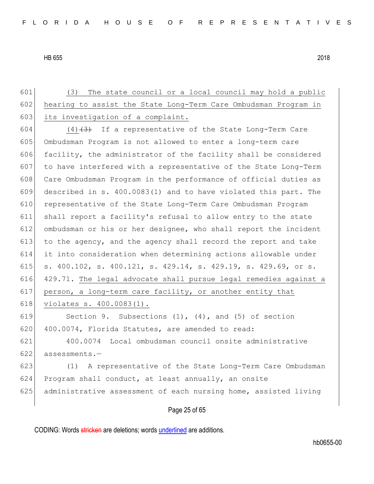Page 25 of 65 (3) The state council or a local council may hold a public hearing to assist the State Long-Term Care Ombudsman Program in 603 its investigation of a complaint.  $(4)$   $(3)$  If a representative of the State Long-Term Care Ombudsman Program is not allowed to enter a long-term care 606 facility, the administrator of the facility shall be considered to have interfered with a representative of the State Long-Term 608 Care Ombudsman Program in the performance of official duties as described in s. 400.0083(1) and to have violated this part. The representative of the State Long-Term Care Ombudsman Program shall report a facility's refusal to allow entry to the state ombudsman or his or her designee, who shall report the incident 613 to the agency, and the agency shall record the report and take it into consideration when determining actions allowable under s. 400.102, s. 400.121, s. 429.14, s. 429.19, s. 429.69, or s. 429.71. The legal advocate shall pursue legal remedies against a person, a long-term care facility, or another entity that 618 violates s. 400.0083(1). Section 9. Subsections (1), (4), and (5) of section 620 400.0074, Florida Statutes, are amended to read: 400.0074 Local ombudsman council onsite administrative assessments.— (1) A representative of the State Long-Term Care Ombudsman 624 Program shall conduct, at least annually, an onsite administrative assessment of each nursing home, assisted living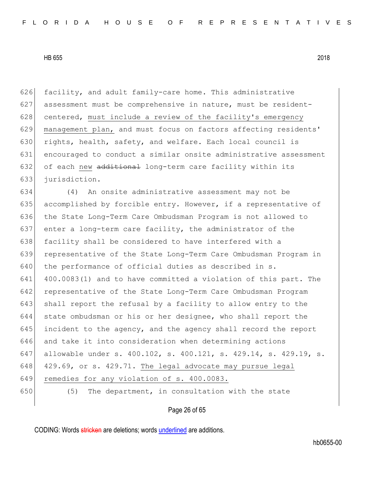626 facility, and adult family-care home. This administrative 627 assessment must be comprehensive in nature, must be resident-628 centered, must include a review of the facility's emergency 629 management plan, and must focus on factors affecting residents' 630 rights, health, safety, and welfare. Each local council is 631 encouraged to conduct a similar onsite administrative assessment 632 of each new additional long-term care facility within its 633 jurisdiction.

634 (4) An onsite administrative assessment may not be 635 accomplished by forcible entry. However, if a representative of 636 the State Long-Term Care Ombudsman Program is not allowed to 637 enter a long-term care facility, the administrator of the 638 facility shall be considered to have interfered with a 639 representative of the State Long-Term Care Ombudsman Program in 640 the performance of official duties as described in s. 641 400.0083(1) and to have committed a violation of this part. The 642 representative of the State Long-Term Care Ombudsman Program 643 shall report the refusal by a facility to allow entry to the 644 state ombudsman or his or her designee, who shall report the 645 incident to the agency, and the agency shall record the report 646 and take it into consideration when determining actions 647 allowable under s. 400.102, s. 400.121, s. 429.14, s. 429.19, s. 648 429.69, or s. 429.71. The legal advocate may pursue legal 649 remedies for any violation of s. 400.0083. 650 (5) The department, in consultation with the state

Page 26 of 65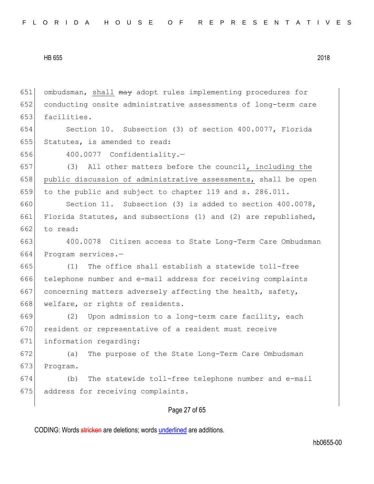651 ombudsman, shall may adopt rules implementing procedures for conducting onsite administrative assessments of long-term care 653 facilities. Section 10. Subsection (3) of section 400.0077, Florida Statutes, is amended to read: 400.0077 Confidentiality.— (3) All other matters before the council, including the 658 public discussion of administrative assessments, shall be open to the public and subject to chapter 119 and s. 286.011. Section 11. Subsection (3) is added to section 400.0078, Florida Statutes, and subsections (1) and (2) are republished, 662 to read: 400.0078 Citizen access to State Long-Term Care Ombudsman Program services.— (1) The office shall establish a statewide toll-free telephone number and e-mail address for receiving complaints 667 concerning matters adversely affecting the health, safety, 668 welfare, or rights of residents. (2) Upon admission to a long-term care facility, each 670 resident or representative of a resident must receive information regarding: (a) The purpose of the State Long-Term Care Ombudsman 673 Program. (b) The statewide toll-free telephone number and e-mail 675 address for receiving complaints.

# Page 27 of 65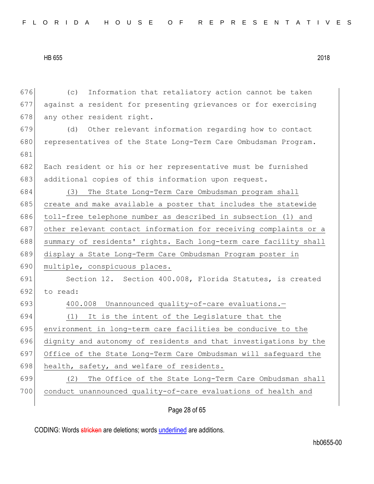676 (c) Information that retaliatory action cannot be taken 677 against a resident for presenting grievances or for exercising 678 any other resident right. 679 (d) Other relevant information regarding how to contact 680 representatives of the State Long-Term Care Ombudsman Program. 681 682 Each resident or his or her representative must be furnished 683 additional copies of this information upon request. 684 (3) The State Long-Term Care Ombudsman program shall 685 create and make available a poster that includes the statewide 686 toll-free telephone number as described in subsection (1) and 687 other relevant contact information for receiving complaints or a 688 summary of residents' rights. Each long-term care facility shall 689 display a State Long-Term Care Ombudsman Program poster in 690 multiple, conspicuous places. 691 Section 12. Section 400.008, Florida Statutes, is created 692 to read: 693 400.008 Unannounced quality-of-care evaluations. 694 (1) It is the intent of the Legislature that the 695 environment in long-term care facilities be conducive to the 696 dignity and autonomy of residents and that investigations by the 697 Office of the State Long-Term Care Ombudsman will safeguard the 698 health, safety, and welfare of residents. 699 (2) The Office of the State Long-Term Care Ombudsman shall 700 conduct unannounced quality-of-care evaluations of health and

Page 28 of 65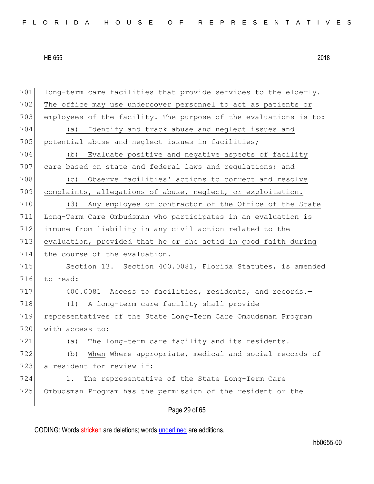| 701 | long-term care facilities that provide services to the elderly.  |
|-----|------------------------------------------------------------------|
| 702 | The office may use undercover personnel to act as patients or    |
| 703 | employees of the facility. The purpose of the evaluations is to: |
| 704 | Identify and track abuse and neglect issues and<br>(a)           |
| 705 | potential abuse and neglect issues in facilities;                |
| 706 | Evaluate positive and negative aspects of facility<br>(b)        |
| 707 | care based on state and federal laws and regulations; and        |
| 708 | Observe facilities' actions to correct and resolve<br>(C)        |
| 709 | complaints, allegations of abuse, neglect, or exploitation.      |
| 710 | Any employee or contractor of the Office of the State<br>(3)     |
| 711 | Long-Term Care Ombudsman who participates in an evaluation is    |
| 712 | immune from liability in any civil action related to the         |
| 713 | evaluation, provided that he or she acted in good faith during   |
| 714 | the course of the evaluation.                                    |
| 715 | Section 13. Section 400.0081, Florida Statutes, is amended       |
| 716 | to read:                                                         |
| 717 | 400.0081 Access to facilities, residents, and records.-          |
| 718 | A long-term care facility shall provide<br>(1)                   |
| 719 | representatives of the State Long-Term Care Ombudsman Program    |
| 720 | with access to:                                                  |
| 721 | The long-term care facility and its residents.<br>(a)            |
| 722 | When Where appropriate, medical and social records of<br>(b)     |
| 723 | a resident for review if:                                        |
| 724 | The representative of the State Long-Term Care<br>1.             |
| 725 | Ombudsman Program has the permission of the resident or the      |
|     |                                                                  |
|     | Page 29 of 65                                                    |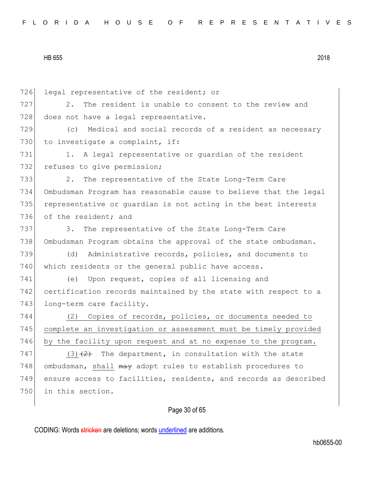| 726 | legal representative of the resident; or                         |
|-----|------------------------------------------------------------------|
| 727 | The resident is unable to consent to the review and<br>2.        |
| 728 | does not have a legal representative.                            |
| 729 | Medical and social records of a resident as necessary<br>(C)     |
| 730 | to investigate a complaint, if:                                  |
| 731 | 1. A legal representative or guardian of the resident            |
| 732 | refuses to give permission;                                      |
| 733 | 2.<br>The representative of the State Long-Term Care             |
| 734 | Ombudsman Program has reasonable cause to believe that the legal |
| 735 | representative or quardian is not acting in the best interests   |
| 736 | of the resident; and                                             |
| 737 | 3.<br>The representative of the State Long-Term Care             |
| 738 | Ombudsman Program obtains the approval of the state ombudsman.   |
| 739 | Administrative records, policies, and documents to<br>(d)        |
| 740 | which residents or the general public have access.               |
| 741 | Upon request, copies of all licensing and<br>(e)                 |
| 742 | certification records maintained by the state with respect to a  |
| 743 | long-term care facility.                                         |
| 744 | Copies of records, policies, or documents needed to<br>(2)       |
| 745 | complete an investigation or assessment must be timely provided  |
| 746 | by the facility upon request and at no expense to the program.   |
| 747 | $(3)$ $(2)$ The department, in consultation with the state       |
| 748 | ombudsman, shall may adopt rules to establish procedures to      |
| 749 | ensure access to facilities, residents, and records as described |
| 750 | in this section.                                                 |
|     |                                                                  |

# Page 30 of 65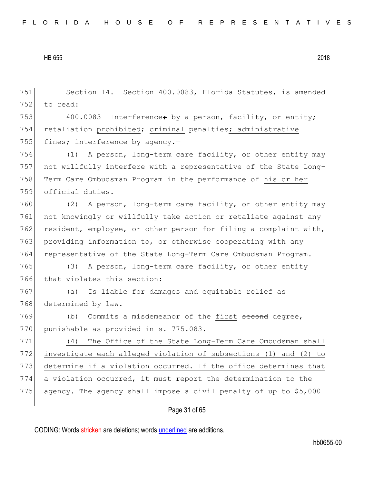751 Section 14. Section 400.0083, Florida Statutes, is amended 752 to read: 753 400.0083 Interference; by a person, facility, or entity;

754 retaliation prohibited; criminal penalties; administrative 755 fines; interference by agency. $-$ 

 (1) A person, long-term care facility, or other entity may not willfully interfere with a representative of the State Long- Term Care Ombudsman Program in the performance of his or her official duties.

760 (2) A person, long-term care facility, or other entity may 761 not knowingly or willfully take action or retaliate against any 762 resident, employee, or other person for filing a complaint with, 763 providing information to, or otherwise cooperating with any 764 representative of the State Long-Term Care Ombudsman Program.

765 (3) A person, long-term care facility, or other entity 766 that violates this section:

767 (a) Is liable for damages and equitable relief as 768 determined by law.

769 (b) Commits a misdemeanor of the first second degree, 770 punishable as provided in s. 775.083.

 (4) The Office of the State Long-Term Care Ombudsman shall investigate each alleged violation of subsections (1) and (2) to determine if a violation occurred. If the office determines that a violation occurred, it must report the determination to the 775 agency. The agency shall impose a civil penalty of up to \$5,000

# Page 31 of 65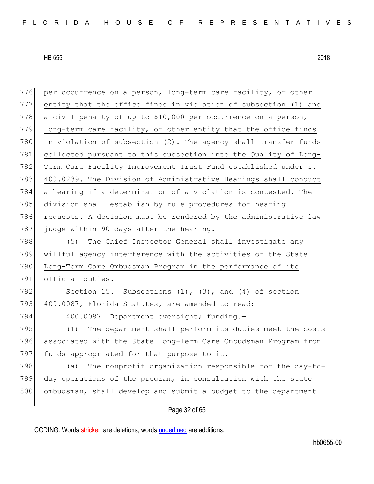| 776 | per occurrence on a person, long-term care facility, or other   |
|-----|-----------------------------------------------------------------|
| 777 | entity that the office finds in violation of subsection (1) and |
| 778 | a civil penalty of up to \$10,000 per occurrence on a person,   |
| 779 | long-term care facility, or other entity that the office finds  |
| 780 | in violation of subsection (2). The agency shall transfer funds |
| 781 | collected pursuant to this subsection into the Quality of Long- |
| 782 | Term Care Facility Improvement Trust Fund established under s.  |
| 783 | 400.0239. The Division of Administrative Hearings shall conduct |
| 784 | a hearing if a determination of a violation is contested. The   |
| 785 | division shall establish by rule procedures for hearing         |
| 786 | requests. A decision must be rendered by the administrative law |
| 787 | judge within 90 days after the hearing.                         |
| 788 | The Chief Inspector General shall investigate any<br>(5)        |
| 789 | willful agency interference with the activities of the State    |
| 790 | Long-Term Care Ombudsman Program in the performance of its      |
| 791 | official duties.                                                |
| 792 | Section 15. Subsections $(1)$ , $(3)$ , and $(4)$ of section    |
| 793 | 400.0087, Florida Statutes, are amended to read:                |
| 794 | 400.0087 Department oversight; funding.-                        |
| 795 | (1)<br>The department shall perform its duties meet the costs   |
| 796 | associated with the State Long-Term Care Ombudsman Program from |
| 797 | funds appropriated for that purpose to it.                      |
| 798 | The nonprofit organization responsible for the day-to-<br>(a)   |
| 799 | day operations of the program, in consultation with the state   |
| 800 | ombudsman, shall develop and submit a budget to the department  |
|     |                                                                 |

# Page 32 of 65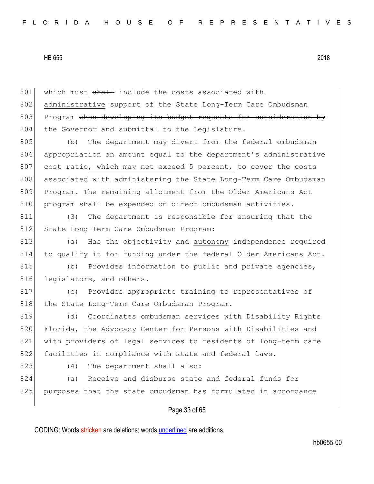801 which must shall include the costs associated with 802 administrative support of the State Long-Term Care Ombudsman 803 Program when developing its budget requests for consideration by 804 the Governor and submittal to the Legislature.

805 (b) The department may divert from the federal ombudsman 806 appropriation an amount equal to the department's administrative 807 cost ratio, which may not exceed 5 percent, to cover the costs 808 associated with administering the State Long-Term Care Ombudsman 809 Program. The remaining allotment from the Older Americans Act 810 program shall be expended on direct ombudsman activities.

811 (3) The department is responsible for ensuring that the 812 State Long-Term Care Ombudsman Program:

813 (a) Has the objectivity and autonomy independence required 814 to qualify it for funding under the federal Older Americans Act.

815 (b) Provides information to public and private agencies, 816 legislators, and others.

817 (c) Provides appropriate training to representatives of 818 the State Long-Term Care Ombudsman Program.

819 (d) Coordinates ombudsman services with Disability Rights 820 Florida, the Advocacy Center for Persons with Disabilities and 821 with providers of legal services to residents of long-term care 822 facilities in compliance with state and federal laws.

823 (4) The department shall also:

824 (a) Receive and disburse state and federal funds for 825 purposes that the state ombudsman has formulated in accordance

# Page 33 of 65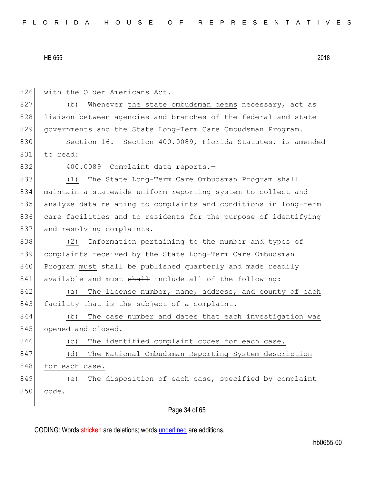826 with the Older Americans Act. 827 (b) Whenever the state ombudsman deems necessary, act as 828 liaison between agencies and branches of the federal and state 829 governments and the State Long-Term Care Ombudsman Program. 830 Section 16. Section 400.0089, Florida Statutes, is amended 831 to read: 832 400.0089 Complaint data reports.-833 (1) The State Long-Term Care Ombudsman Program shall 834 maintain a statewide uniform reporting system to collect and 835 analyze data relating to complaints and conditions in long-term 836 care facilities and to residents for the purpose of identifying 837 and resolving complaints. 838 (2) Information pertaining to the number and types of 839 complaints received by the State Long-Term Care Ombudsman 840 Program must shall be published quarterly and made readily 841 available and must shall include all of the following: 842 (a) The license number, name, address, and county of each 843 facility that is the subject of a complaint. 844 (b) The case number and dates that each investigation was 845 opened and closed. 846 (c) The identified complaint codes for each case. 847 (d) The National Ombudsman Reporting System description 848 for each case. 849 (e) The disposition of each case, specified by complaint 850 code.

# Page 34 of 65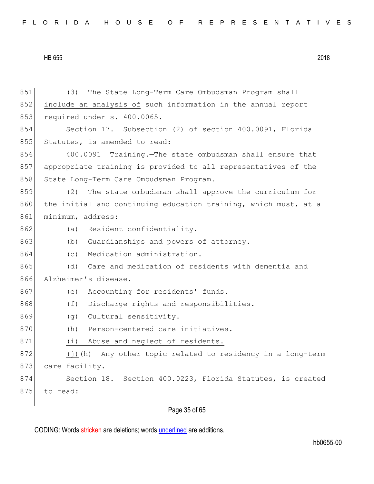| 851 | The State Long-Term Care Ombudsman Program shall<br>(3)         |
|-----|-----------------------------------------------------------------|
| 852 | include an analysis of such information in the annual report    |
| 853 | required under s. 400.0065.                                     |
| 854 | Section 17. Subsection (2) of section 400.0091, Florida         |
| 855 | Statutes, is amended to read:                                   |
| 856 | 400.0091 Training. The state ombudsman shall ensure that        |
| 857 | appropriate training is provided to all representatives of the  |
| 858 | State Long-Term Care Ombudsman Program.                         |
| 859 | The state ombudsman shall approve the curriculum for<br>(2)     |
| 860 | the initial and continuing education training, which must, at a |
| 861 | minimum, address:                                               |
| 862 | Resident confidentiality.<br>(a)                                |
| 863 | Guardianships and powers of attorney.<br>(b)                    |
| 864 | Medication administration.<br>(C)                               |
| 865 | Care and medication of residents with dementia and<br>(d)       |
| 866 | Alzheimer's disease.                                            |
| 867 | Accounting for residents' funds.<br>(e)                         |
| 868 | (f)<br>Discharge rights and responsibilities.                   |
| 869 | Cultural sensitivity.<br>(g)                                    |
| 870 | Person-centered care initiatives.<br>(h)                        |
| 871 | (i)<br>Abuse and neglect of residents.                          |
| 872 | $(j)$ $(h)$ Any other topic related to residency in a long-term |
| 873 | care facility.                                                  |
| 874 | Section 18. Section 400.0223, Florida Statutes, is created      |
| 875 | to read:                                                        |
|     |                                                                 |

# Page 35 of 65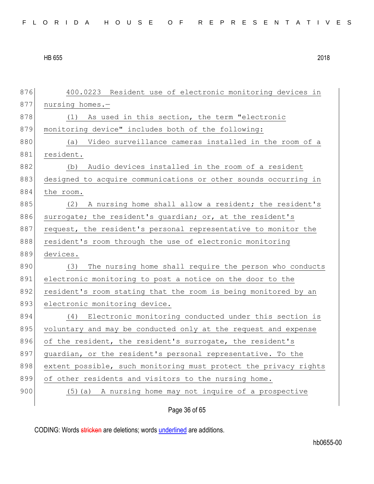| FLORIDA HOUSE OF REPRESENTATIVES |  |  |  |  |  |  |  |  |  |  |  |  |  |  |  |  |  |  |  |  |  |  |  |  |  |  |  |
|----------------------------------|--|--|--|--|--|--|--|--|--|--|--|--|--|--|--|--|--|--|--|--|--|--|--|--|--|--|--|
|----------------------------------|--|--|--|--|--|--|--|--|--|--|--|--|--|--|--|--|--|--|--|--|--|--|--|--|--|--|--|

876 400.0223 Resident use of electronic monitoring devices in 877 nursing homes.-878 (1) As used in this section, the term "electronic 879 monitoring device" includes both of the following: 880 (a) Video surveillance cameras installed in the room of a 881 resident. 882 (b) Audio devices installed in the room of a resident 883 designed to acquire communications or other sounds occurring in 884 the room. 885 (2) A nursing home shall allow a resident; the resident's 886 surrogate; the resident's guardian; or, at the resident's 887 request, the resident's personal representative to monitor the 888 resident's room through the use of electronic monitoring 889 devices. 890 (3) The nursing home shall require the person who conducts 891 electronic monitoring to post a notice on the door to the 892 resident's room stating that the room is being monitored by an 893 electronic monitoring device. 894 (4) Electronic monitoring conducted under this section is 895 voluntary and may be conducted only at the request and expense 896 of the resident, the resident's surrogate, the resident's 897 guardian, or the resident's personal representative. To the 898 extent possible, such monitoring must protect the privacy rights 899 of other residents and visitors to the nursing home. 900 (5)(a) A nursing home may not inquire of a prospective

Page 36 of 65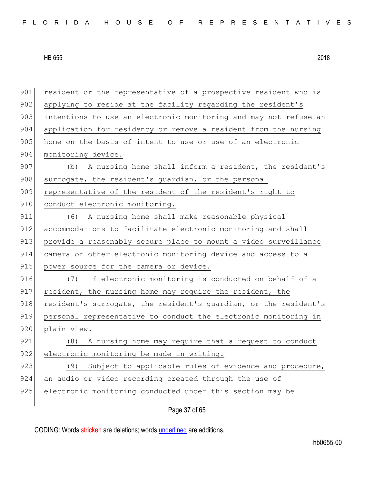901 resident or the representative of a prospective resident who is 902 applying to reside at the facility regarding the resident's 903 intentions to use an electronic monitoring and may not refuse an 904 application for residency or remove a resident from the nursing 905 home on the basis of intent to use or use of an electronic 906 monitoring device. 907 (b) A nursing home shall inform a resident, the resident's 908 surrogate, the resident's quardian, or the personal 909 representative of the resident of the resident's right to 910 conduct electronic monitoring. 911 (6) A nursing home shall make reasonable physical 912 accommodations to facilitate electronic monitoring and shall 913 provide a reasonably secure place to mount a video surveillance 914 camera or other electronic monitoring device and access to a 915 power source for the camera or device. 916 (7) If electronic monitoring is conducted on behalf of a 917 resident, the nursing home may require the resident, the 918 resident's surrogate, the resident's quardian, or the resident's 919 personal representative to conduct the electronic monitoring in 920 plain view. 921 (8) A nursing home may require that a request to conduct 922 electronic monitoring be made in writing. 923 (9) Subject to applicable rules of evidence and procedure, 924 an audio or video recording created through the use of 925 electronic monitoring conducted under this section may be

Page 37 of 65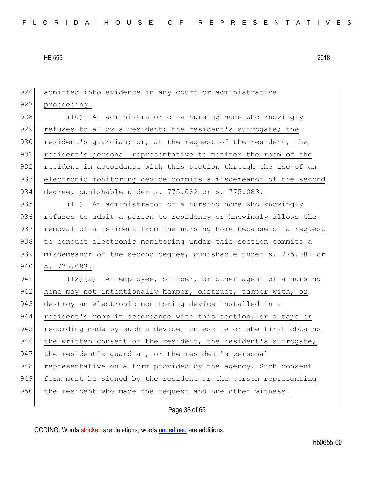926 admitted into evidence in any court or administrative 927 proceeding. 928 (10) An administrator of a nursing home who knowingly 929 refuses to allow a resident; the resident's surrogate; the 930 resident's quardian; or, at the request of the resident, the 931 resident's personal representative to monitor the room of the 932 resident in accordance with this section through the use of an 933 electronic monitoring device commits a misdemeanor of the second 934 degree, punishable under s. 775.082 or s. 775.083. 935 (11) An administrator of a nursing home who knowingly 936 refuses to admit a person to residency or knowingly allows the 937 removal of a resident from the nursing home because of a request 938 to conduct electronic monitoring under this section commits a 939 misdemeanor of the second degree, punishable under s. 775.082 or 940 s. 775.083. 941 (12)(a) An employee, officer, or other agent of a nursing 942 home may not intentionally hamper, obstruct, tamper with, or 943 destroy an electronic monitoring device installed in a 944 resident's room in accordance with this section, or a tape or 945 recording made by such a device, unless he or she first obtains 946 the written consent of the resident, the resident's surrogate, 947 the resident's guardian, or the resident's personal 948 representative on a form provided by the agency. Such consent 949 form must be signed by the resident or the person representing 950 the resident who made the request and one other witness.

Page 38 of 65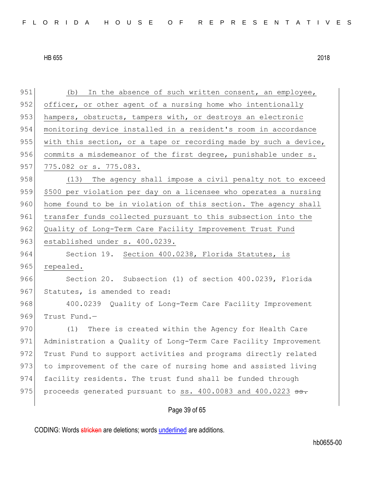951 (b) In the absence of such written consent, an employee, 952 officer, or other agent of a nursing home who intentionally 953 hampers, obstructs, tampers with, or destroys an electronic 954 monitoring device installed in a resident's room in accordance 955 with this section, or a tape or recording made by such a device, 956 commits a misdemeanor of the first degree, punishable under s. 957 775.082 or s. 775.083. 958 (13) The agency shall impose a civil penalty not to exceed 959 \$500 per violation per day on a licensee who operates a nursing 960 home found to be in violation of this section. The agency shall 961 transfer funds collected pursuant to this subsection into the 962 Quality of Long-Term Care Facility Improvement Trust Fund 963 established under s. 400.0239. 964 Section 19. Section 400.0238, Florida Statutes, is 965 repealed. 966 Section 20. Subsection (1) of section 400.0239, Florida 967 Statutes, is amended to read: 968 400.0239 Quality of Long-Term Care Facility Improvement 969 Trust Fund.-970 (1) There is created within the Agency for Health Care 971 Administration a Quality of Long-Term Care Facility Improvement 972 Trust Fund to support activities and programs directly related 973 to improvement of the care of nursing home and assisted living 974 facility residents. The trust fund shall be funded through 975 | proceeds generated pursuant to ss.  $400.0083$  and  $400.0223$   $\overline{\text{ss}}$ .

# Page 39 of 65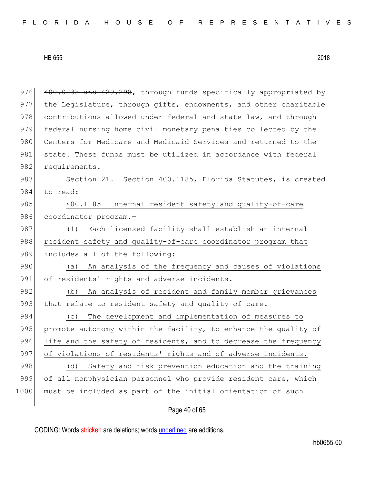976 400.0238 and 429.298, through funds specifically appropriated by 977 the Legislature, through gifts, endowments, and other charitable 978 contributions allowed under federal and state law, and through 979 federal nursing home civil monetary penalties collected by the 980 Centers for Medicare and Medicaid Services and returned to the 981 state. These funds must be utilized in accordance with federal 982 requirements. 983 Section 21. Section 400.1185, Florida Statutes, is created 984 to read: 985 400.1185 Internal resident safety and quality-of-care 986 coordinator program.-987 (1) Each licensed facility shall establish an internal 988 resident safety and quality-of-care coordinator program that 989 includes all of the following: 990 (a) An analysis of the frequency and causes of violations 991 of residents' rights and adverse incidents. 992 (b) An analysis of resident and family member grievances 993 that relate to resident safety and quality of care. 994 (c) The development and implementation of measures to 995 promote autonomy within the facility, to enhance the quality of 996 life and the safety of residents, and to decrease the frequency 997 of violations of residents' rights and of adverse incidents. 998 (d) Safety and risk prevention education and the training 999 of all nonphysician personnel who provide resident care, which 1000 must be included as part of the initial orientation of such

# Page 40 of 65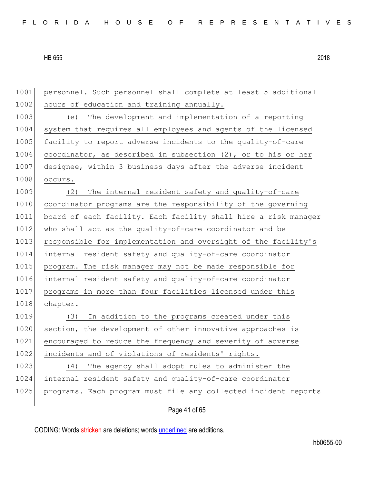1001 personnel. Such personnel shall complete at least 5 additional 1002 hours of education and training annually. 1003 (e) The development and implementation of a reporting 1004 system that requires all employees and agents of the licensed 1005 facility to report adverse incidents to the quality-of-care 1006 coordinator, as described in subsection (2), or to his or her 1007 designee, within 3 business days after the adverse incident 1008 occurs. 1009 (2) The internal resident safety and quality-of-care 1010 coordinator programs are the responsibility of the governing 1011 board of each facility. Each facility shall hire a risk manager 1012 who shall act as the quality-of-care coordinator and be 1013 responsible for implementation and oversight of the facility's 1014 internal resident safety and quality-of-care coordinator 1015 program. The risk manager may not be made responsible for 1016 internal resident safety and quality-of-care coordinator 1017 programs in more than four facilities licensed under this 1018 chapter. 1019 (3) In addition to the programs created under this 1020 section, the development of other innovative approaches is 1021 encouraged to reduce the frequency and severity of adverse 1022 incidents and of violations of residents' rights. 1023 (4) The agency shall adopt rules to administer the 1024 internal resident safety and quality-of-care coordinator 1025 programs. Each program must file any collected incident reports

Page 41 of 65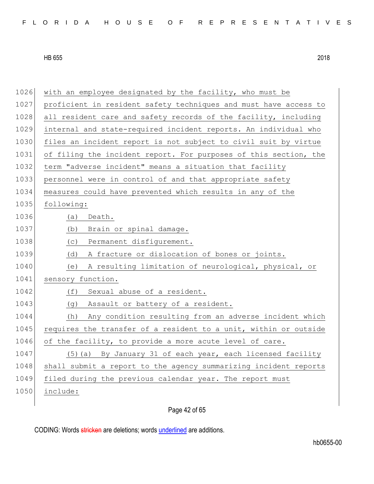| FLORIDA HOUSE OF REPRESENTATIVES |  |
|----------------------------------|--|
|----------------------------------|--|

| 1026 | with an employee designated by the facility, who must be         |
|------|------------------------------------------------------------------|
| 1027 | proficient in resident safety techniques and must have access to |
| 1028 | all resident care and safety records of the facility, including  |
| 1029 | internal and state-required incident reports. An individual who  |
| 1030 | files an incident report is not subject to civil suit by virtue  |
| 1031 | of filing the incident report. For purposes of this section, the |
| 1032 | term "adverse incident" means a situation that facility          |
| 1033 | personnel were in control of and that appropriate safety         |
| 1034 | measures could have prevented which results in any of the        |
| 1035 | following:                                                       |
| 1036 | Death.<br>(a)                                                    |
| 1037 | Brain or spinal damage.<br>(b)                                   |
| 1038 | (C)<br>Permanent disfigurement.                                  |
| 1039 | A fracture or dislocation of bones or joints.<br>(d)             |
| 1040 | A resulting limitation of neurological, physical, or<br>(e)      |
| 1041 | sensory function.                                                |
| 1042 | Sexual abuse of a resident.<br>(f)                               |
| 1043 | Assault or battery of a resident.<br>(g)                         |
| 1044 | Any condition resulting from an adverse incident which<br>(h)    |
| 1045 | requires the transfer of a resident to a unit, within or outside |
| 1046 | of the facility, to provide a more acute level of care.          |
| 1047 | (5) (a) By January 31 of each year, each licensed facility       |
| 1048 | shall submit a report to the agency summarizing incident reports |
| 1049 | filed during the previous calendar year. The report must         |
| 1050 | include:                                                         |
|      |                                                                  |

# Page 42 of 65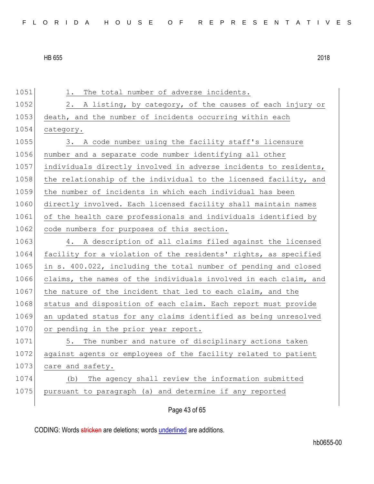| 1051 | The total number of adverse incidents.<br>1.                     |
|------|------------------------------------------------------------------|
| 1052 | 2. A listing, by category, of the causes of each injury or       |
| 1053 | death, and the number of incidents occurring within each         |
| 1054 | category.                                                        |
| 1055 | 3. A code number using the facility staff's licensure            |
| 1056 | number and a separate code number identifying all other          |
| 1057 | individuals directly involved in adverse incidents to residents, |
| 1058 | the relationship of the individual to the licensed facility, and |
| 1059 | the number of incidents in which each individual has been        |
| 1060 | directly involved. Each licensed facility shall maintain names   |
| 1061 | of the health care professionals and individuals identified by   |
| 1062 | code numbers for purposes of this section.                       |
| 1063 | 4. A description of all claims filed against the licensed        |
| 1064 | facility for a violation of the residents' rights, as specified  |
| 1065 | in s. 400.022, including the total number of pending and closed  |
| 1066 | claims, the names of the individuals involved in each claim, and |
| 1067 | the nature of the incident that led to each claim, and the       |
| 1068 | status and disposition of each claim. Each report must provide   |
| 1069 | an updated status for any claims identified as being unresolved  |
| 1070 | or pending in the prior year report.                             |
| 1071 | 5. The number and nature of disciplinary actions taken           |
| 1072 | against agents or employees of the facility related to patient   |
| 1073 | care and safety.                                                 |
| 1074 | The agency shall review the information submitted<br>(d)         |
| 1075 | pursuant to paragraph (a) and determine if any reported          |
|      |                                                                  |

Page 43 of 65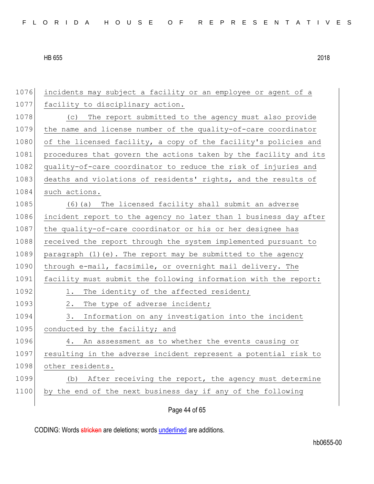| 1076 | incidents may subject a facility or an employee or agent of a    |
|------|------------------------------------------------------------------|
| 1077 | facility to disciplinary action.                                 |
| 1078 | The report submitted to the agency must also provide<br>(C)      |
| 1079 | the name and license number of the quality-of-care coordinator   |
| 1080 | of the licensed facility, a copy of the facility's policies and  |
| 1081 | procedures that govern the actions taken by the facility and its |
| 1082 | quality-of-care coordinator to reduce the risk of injuries and   |
| 1083 | deaths and violations of residents' rights, and the results of   |
| 1084 | such actions.                                                    |
| 1085 | (6) (a) The licensed facility shall submit an adverse            |
| 1086 | incident report to the agency no later than 1 business day after |
| 1087 | the quality-of-care coordinator or his or her designee has       |
| 1088 | received the report through the system implemented pursuant to   |
| 1089 | paragraph (1) (e). The report may be submitted to the agency     |
| 1090 | through e-mail, facsimile, or overnight mail delivery. The       |
| 1091 | facility must submit the following information with the report:  |
| 1092 | The identity of the affected resident;<br>1.                     |
| 1093 | The type of adverse incident;<br>2.                              |
| 1094 | Information on any investigation into the incident<br>3.         |
| 1095 | conducted by the facility; and                                   |
| 1096 | 4. An assessment as to whether the events causing or             |
| 1097 | resulting in the adverse incident represent a potential risk to  |
| 1098 | other residents.                                                 |
| 1099 | After receiving the report, the agency must determine<br>(b)     |
| 1100 | by the end of the next business day if any of the following      |
|      |                                                                  |

Page 44 of 65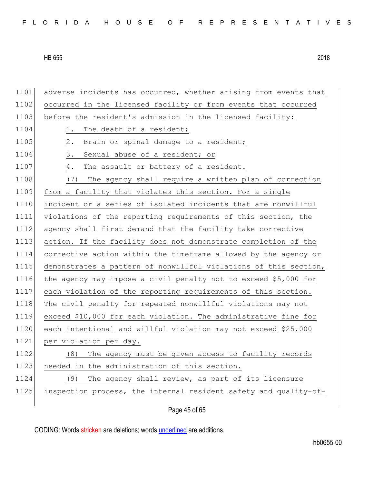| 1101 | adverse incidents has occurred, whether arising from events that |
|------|------------------------------------------------------------------|
| 1102 | occurred in the licensed facility or from events that occurred   |
| 1103 | before the resident's admission in the licensed facility:        |
| 1104 | The death of a resident;<br>1.                                   |
| 1105 | Brain or spinal damage to a resident;<br>2.                      |
| 1106 | Sexual abuse of a resident; or<br>3.                             |
| 1107 | The assault or battery of a resident.<br>4.                      |
| 1108 | The agency shall require a written plan of correction<br>(7)     |
| 1109 | from a facility that violates this section. For a single         |
| 1110 | incident or a series of isolated incidents that are nonwillful   |
| 1111 | violations of the reporting requirements of this section, the    |
| 1112 | agency shall first demand that the facility take corrective      |
| 1113 | action. If the facility does not demonstrate completion of the   |
| 1114 | corrective action within the timeframe allowed by the agency or  |
| 1115 | demonstrates a pattern of nonwillful violations of this section, |
| 1116 | the agency may impose a civil penalty not to exceed \$5,000 for  |
| 1117 | each violation of the reporting requirements of this section.    |
| 1118 | The civil penalty for repeated nonwillful violations may not     |
| 1119 | exceed \$10,000 for each violation. The administrative fine for  |
| 1120 | each intentional and willful violation may not exceed \$25,000   |
| 1121 | per violation per day.                                           |
| 1122 | The agency must be given access to facility records<br>(8)       |
| 1123 | needed in the administration of this section.                    |
| 1124 | (9)<br>The agency shall review, as part of its licensure         |
| 1125 | inspection process, the internal resident safety and quality-of- |
|      |                                                                  |

Page 45 of 65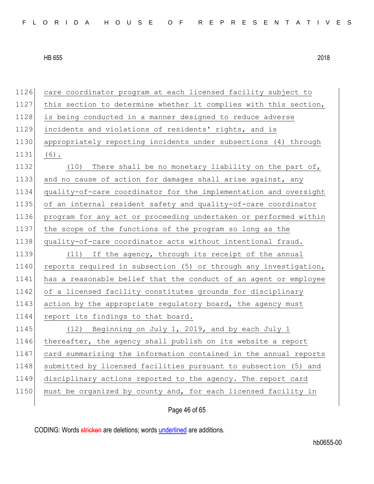1126 care coordinator program at each licensed facility subject to 1127 this section to determine whether it complies with this section, 1128 is being conducted in a manner designed to reduce adverse 1129 incidents and violations of residents' rights, and is 1130 appropriately reporting incidents under subsections (4) through 1131 (6). 1132 (10) There shall be no monetary liability on the part of, 1133 and no cause of action for damages shall arise against, any 1134 quality-of-care coordinator for the implementation and oversight 1135 of an internal resident safety and quality-of-care coordinator 1136 program for any act or proceeding undertaken or performed within 1137 the scope of the functions of the program so long as the 1138 quality-of-care coordinator acts without intentional fraud. 1139 (11) If the agency, through its receipt of the annual 1140 reports required in subsection (5) or through any investigation, 1141 has a reasonable belief that the conduct of an agent or employee 1142 of a licensed facility constitutes grounds for disciplinary 1143 action by the appropriate regulatory board, the agency must 1144 report its findings to that board. 1145 (12) Beginning on July 1, 2019, and by each July 1 1146 thereafter, the agency shall publish on its website a report 1147 card summarizing the information contained in the annual reports 1148 submitted by licensed facilities pursuant to subsection (5) and 1149 disciplinary actions reported to the agency. The report card 1150 must be organized by county and, for each licensed facility in

Page 46 of 65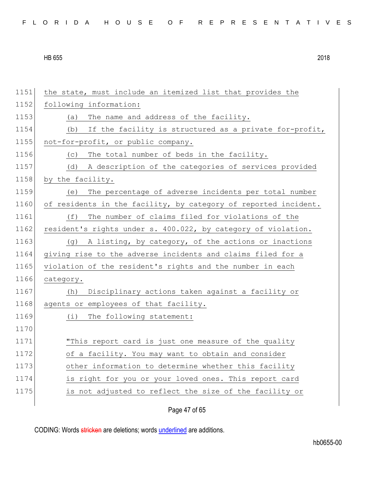| FLORIDA HOUSE OF REPRESENTATIVES |  |
|----------------------------------|--|
|----------------------------------|--|

| 1151 | the state, must include an itemized list that provides the      |
|------|-----------------------------------------------------------------|
| 1152 | following information:                                          |
| 1153 | The name and address of the facility.<br>(a)                    |
| 1154 | If the facility is structured as a private for-profit,<br>(b)   |
| 1155 | not-for-profit, or public company.                              |
| 1156 | The total number of beds in the facility.<br>(C)                |
| 1157 | A description of the categories of services provided<br>(d)     |
| 1158 | by the facility.                                                |
| 1159 | The percentage of adverse incidents per total number<br>(e)     |
| 1160 | of residents in the facility, by category of reported incident. |
| 1161 | The number of claims filed for violations of the<br>(f)         |
| 1162 | resident's rights under s. 400.022, by category of violation.   |
| 1163 | A listing, by category, of the actions or inactions<br>(q)      |
| 1164 | giving rise to the adverse incidents and claims filed for a     |
| 1165 | violation of the resident's rights and the number in each       |
| 1166 | category.                                                       |
| 1167 | Disciplinary actions taken against a facility or<br>(h)         |
| 1168 | agents or employees of that facility.                           |
| 1169 | The following statement:<br>(i)                                 |
| 1170 |                                                                 |
| 1171 | "This report card is just one measure of the quality            |
| 1172 | of a facility. You may want to obtain and consider              |
| 1173 | other information to determine whether this facility            |
| 1174 | is right for you or your loved ones. This report card           |
| 1175 | is not adjusted to reflect the size of the facility or          |
|      |                                                                 |

Page 47 of 65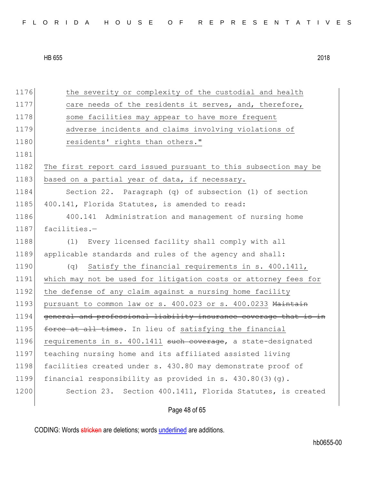| 1176 | the severity or complexity of the custodial and health           |
|------|------------------------------------------------------------------|
| 1177 | care needs of the residents it serves, and, therefore,           |
| 1178 | some facilities may appear to have more frequent                 |
| 1179 | adverse incidents and claims involving violations of             |
| 1180 | residents' rights than others."                                  |
| 1181 |                                                                  |
| 1182 | The first report card issued pursuant to this subsection may be  |
| 1183 | based on a partial year of data, if necessary.                   |
| 1184 | Section 22. Paragraph (q) of subsection (1) of section           |
| 1185 | 400.141, Florida Statutes, is amended to read:                   |
| 1186 | Administration and management of nursing home<br>400.141         |
| 1187 | facilities.-                                                     |
| 1188 | Every licensed facility shall comply with all<br>(1)             |
| 1189 | applicable standards and rules of the agency and shall:          |
| 1190 | Satisfy the financial requirements in s. 400.1411,<br>$(\alpha)$ |
| 1191 | which may not be used for litigation costs or attorney fees for  |
| 1192 | the defense of any claim against a nursing home facility         |
| 1193 | pursuant to common law or s. 400.023 or s. 400.0233 Maintain     |
| 1194 | general and professional liability insurance coverage that is in |
| 1195 | force at all times. In lieu of satisfying the financial          |
| 1196 | requirements in s. 400.1411 such coverage, a state-designated    |
| 1197 | teaching nursing home and its affiliated assisted living         |
| 1198 | facilities created under s. 430.80 may demonstrate proof of      |
| 1199 | financial responsibility as provided in s. $430.80(3)(q)$ .      |
| 1200 | Section 23. Section 400.1411, Florida Statutes, is created       |
|      |                                                                  |

Page 48 of 65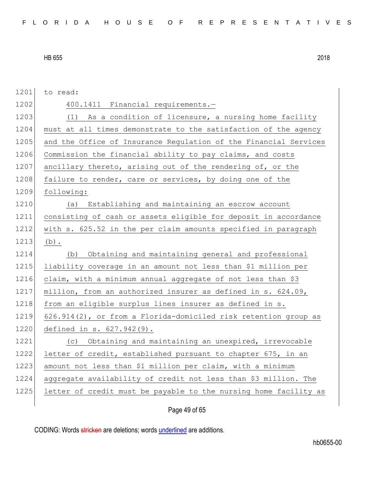1201 to read: 1202 400.1411 Financial requirements.-1203 (1) As a condition of licensure, a nursing home facility 1204 must at all times demonstrate to the satisfaction of the agency 1205 and the Office of Insurance Requlation of the Financial Services 1206 Commission the financial ability to pay claims, and costs 1207 ancillary thereto, arising out of the rendering of, or the 1208 failure to render, care or services, by doing one of the 1209 following: 1210 (a) Establishing and maintaining an escrow account 1211 consisting of cash or assets eligible for deposit in accordance 1212 with s. 625.52 in the per claim amounts specified in paragraph  $1213$  (b). 1214 (b) Obtaining and maintaining general and professional 1215 liability coverage in an amount not less than \$1 million per 1216 claim, with a minimum annual aggregate of not less than \$3 1217 million, from an authorized insurer as defined in s. 624.09, 1218 from an eligible surplus lines insurer as defined in s. 1219 626.914(2), or from a Florida-domiciled risk retention group as 1220 defined in s. 627.942(9). 1221 (c) Obtaining and maintaining an unexpired, irrevocable 1222 letter of credit, established pursuant to chapter 675, in an 1223 amount not less than \$1 million per claim, with a minimum 1224 aggregate availability of credit not less than \$3 million. The 1225 letter of credit must be payable to the nursing home facility as

Page 49 of 65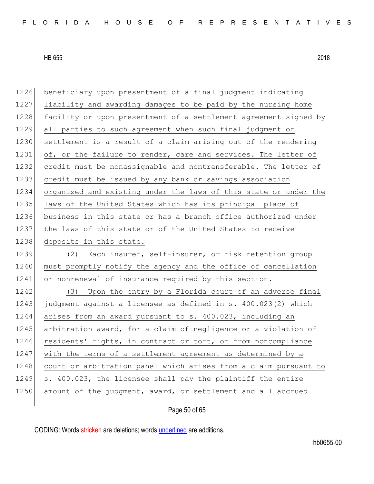| 1226 | beneficiary upon presentment of a final judgment indicating      |
|------|------------------------------------------------------------------|
| 1227 | liability and awarding damages to be paid by the nursing home    |
| 1228 | facility or upon presentment of a settlement agreement signed by |
| 1229 | all parties to such agreement when such final judgment or        |
| 1230 | settlement is a result of a claim arising out of the rendering   |
| 1231 | of, or the failure to render, care and services. The letter of   |
| 1232 | credit must be nonassignable and nontransferable. The letter of  |
| 1233 | credit must be issued by any bank or savings association         |
| 1234 | organized and existing under the laws of this state or under the |
| 1235 | laws of the United States which has its principal place of       |
| 1236 | business in this state or has a branch office authorized under   |
| 1237 | the laws of this state or of the United States to receive        |
| 1238 | deposits in this state.                                          |
| 1239 | (2) Each insurer, self-insurer, or risk retention group          |
| 1240 | must promptly notify the agency and the office of cancellation   |
| 1241 | or nonrenewal of insurance required by this section.             |
| 1242 | (3) Upon the entry by a Florida court of an adverse final        |
| 1243 | judgment against a licensee as defined in s. 400.023(2) which    |
| 1244 | arises from an award pursuant to s. 400.023, including an        |
| 1245 | arbitration award, for a claim of negligence or a violation of   |
| 1246 | residents' rights, in contract or tort, or from noncompliance    |
| 1247 | with the terms of a settlement agreement as determined by a      |
| 1248 | court or arbitration panel which arises from a claim pursuant to |
| 1249 | s. 400.023, the licensee shall pay the plaintiff the entire      |
| 1250 | amount of the judgment, award, or settlement and all accrued     |
|      |                                                                  |

Page 50 of 65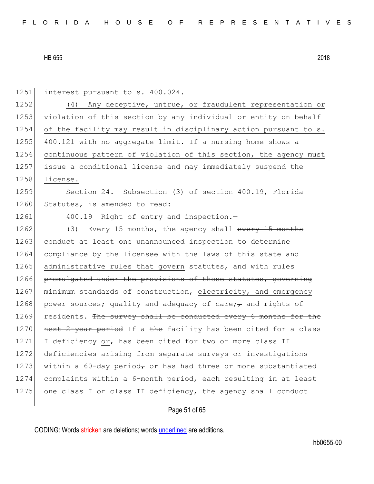| 1251 | interest pursuant to s. 400.024.                                  |
|------|-------------------------------------------------------------------|
| 1252 | (4) Any deceptive, untrue, or fraudulent representation or        |
| 1253 | violation of this section by any individual or entity on behalf   |
| 1254 | of the facility may result in disciplinary action pursuant to s.  |
| 1255 | 400.121 with no aggregate limit. If a nursing home shows a        |
| 1256 | continuous pattern of violation of this section, the agency must  |
| 1257 | issue a conditional license and may immediately suspend the       |
| 1258 | license.                                                          |
| 1259 | Section 24. Subsection (3) of section 400.19, Florida             |
| 1260 | Statutes, is amended to read:                                     |
| 1261 | 400.19 Right of entry and inspection.-                            |
| 1262 | (3)<br>Every 15 months, the agency shall every 15 months          |
| 1263 | conduct at least one unannounced inspection to determine          |
| 1264 | compliance by the licensee with the laws of this state and        |
| 1265 | administrative rules that govern statutes, and with rules         |
| 1266 | promulgated under the provisions of those statutes, governing     |
| 1267 | minimum standards of construction, electricity, and emergency     |
| 1268 | power sources; quality and adequacy of care; $\tau$ and rights of |
| 1269 | residents. The survey shall be conducted every 6 months for the   |
| 1270 | next 2-year period If a the facility has been cited for a class   |
| 1271 | I deficiency or, has been cited for two or more class II          |
| 1272 | deficiencies arising from separate surveys or investigations      |
| 1273 | within a 60-day period, or has had three or more substantiated    |
| 1274 | complaints within a 6-month period, each resulting in at least    |
| 1275 | one class I or class II deficiency, the agency shall conduct      |

# Page 51 of 65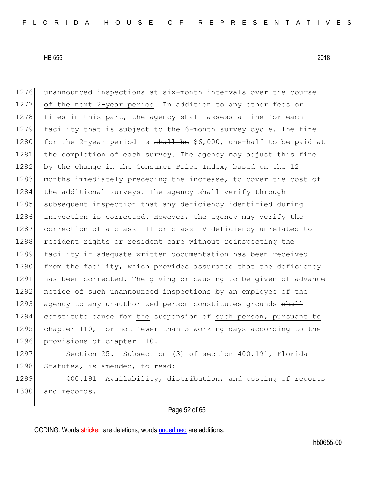1276 unannounced inspections at six-month intervals over the course 1277 of the next 2-year period. In addition to any other fees or  $1278$  fines in this part, the agency shall assess a fine for each 1279 facility that is subject to the 6-month survey cycle. The fine 1280 for the 2-year period is  $shall$  be \$6,000, one-half to be paid at 1281 the completion of each survey. The agency may adjust this fine 1282 by the change in the Consumer Price Index, based on the 12 1283 months immediately preceding the increase, to cover the cost of 1284 the additional surveys. The agency shall verify through 1285 subsequent inspection that any deficiency identified during 1286 inspection is corrected. However, the agency may verify the 1287 correction of a class III or class IV deficiency unrelated to 1288 resident rights or resident care without reinspecting the 1289 facility if adequate written documentation has been received 1290 from the facility, which provides assurance that the deficiency 1291 has been corrected. The giving or causing to be given of advance 1292 notice of such unannounced inspections by an employee of the 1293 agency to any unauthorized person constitutes grounds shall 1294 constitute cause for the suspension of such person, pursuant to 1295 chapter 110, for not fewer than 5 working days according to the 1296 provisions of chapter 110. 1297 Section 25. Subsection (3) of section 400.191, Florida 1298 Statutes, is amended, to read:

1299 400.191 Availability, distribution, and posting of reports 1300 and records.-

Page 52 of 65

CODING: Words stricken are deletions; words underlined are additions.

hb0655-00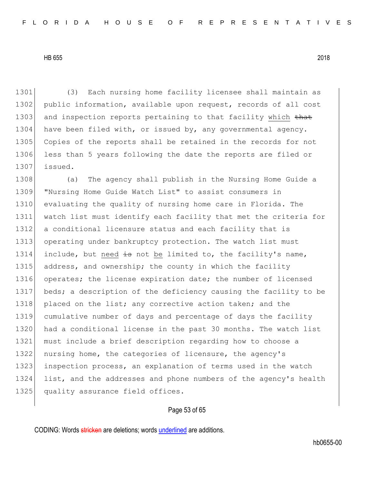1301 (3) Each nursing home facility licensee shall maintain as 1302 public information, available upon request, records of all cost 1303 and inspection reports pertaining to that facility which that 1304 have been filed with, or issued by, any governmental agency. 1305 Copies of the reports shall be retained in the records for not 1306 less than 5 years following the date the reports are filed or 1307 issued.

1308 (a) The agency shall publish in the Nursing Home Guide a 1309 "Nursing Home Guide Watch List" to assist consumers in 1310 evaluating the quality of nursing home care in Florida. The 1311 watch list must identify each facility that met the criteria for 1312 a conditional licensure status and each facility that is 1313 operating under bankruptcy protection. The watch list must 1314 include, but need  $\pm$ s not be limited to, the facility's name, 1315 address, and ownership; the county in which the facility 1316 operates; the license expiration date; the number of licensed 1317 beds; a description of the deficiency causing the facility to be 1318 placed on the list; any corrective action taken; and the 1319 cumulative number of days and percentage of days the facility 1320 had a conditional license in the past 30 months. The watch list 1321 must include a brief description regarding how to choose a 1322 nursing home, the categories of licensure, the agency's 1323 inspection process, an explanation of terms used in the watch 1324 list, and the addresses and phone numbers of the agency's health 1325 quality assurance field offices.

# Page 53 of 65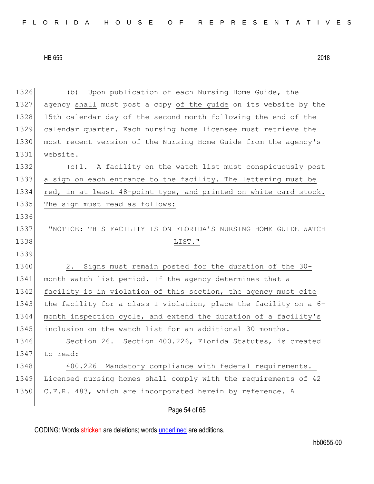1326 (b) Upon publication of each Nursing Home Guide, the 1327 agency shall must post a copy of the guide on its website by the 1328 15th calendar day of the second month following the end of the 1329 calendar quarter. Each nursing home licensee must retrieve the 1330 most recent version of the Nursing Home Guide from the agency's 1331 website. 1332 (c)1. A facility on the watch list must conspicuously post 1333 a sign on each entrance to the facility. The lettering must be 1334 red, in at least 48-point type, and printed on white card stock. 1335 The sign must read as follows: 1336 1337 "NOTICE: THIS FACILITY IS ON FLORIDA'S NURSING HOME GUIDE WATCH 1338 LIST." 1339 1340 2. Signs must remain posted for the duration of the 30-1341 month watch list period. If the agency determines that a 1342 facility is in violation of this section, the agency must cite 1343 the facility for a class I violation, place the facility on a 6-1344 month inspection cycle, and extend the duration of a facility's 1345 | inclusion on the watch list for an additional 30 months. 1346 Section 26. Section 400.226, Florida Statutes, is created 1347 to read: 1348 400.226 Mandatory compliance with federal requirements.-1349 Licensed nursing homes shall comply with the requirements of 42 1350 C.F.R. 483, which are incorporated herein by reference. A

Page 54 of 65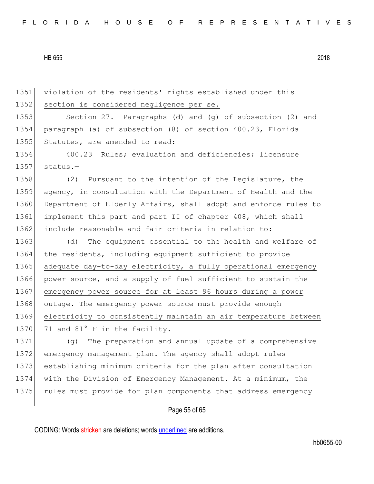1351 violation of the residents' rights established under this 1352 section is considered negligence per se. 1353 Section 27. Paragraphs (d) and (g) of subsection (2) and 1354 paragraph (a) of subsection (8) of section 400.23, Florida 1355 Statutes, are amended to read: 1356 400.23 Rules; evaluation and deficiencies; licensure  $1357$  status.-1358 (2) Pursuant to the intention of the Legislature, the 1359 agency, in consultation with the Department of Health and the 1360 Department of Elderly Affairs, shall adopt and enforce rules to 1361 implement this part and part II of chapter 408, which shall 1362 include reasonable and fair criteria in relation to: 1363 (d) The equipment essential to the health and welfare of 1364 the residents, including equipment sufficient to provide 1365 adequate day-to-day electricity, a fully operational emergency 1366 power source, and a supply of fuel sufficient to sustain the 1367 emergency power source for at least 96 hours during a power 1368 outage. The emergency power source must provide enough 1369 electricity to consistently maintain an air temperature between 1370 71 and 81° F in the facility. 1371 (g) The preparation and annual update of a comprehensive

 emergency management plan. The agency shall adopt rules establishing minimum criteria for the plan after consultation with the Division of Emergency Management. At a minimum, the 1375 rules must provide for plan components that address emergency

# Page 55 of 65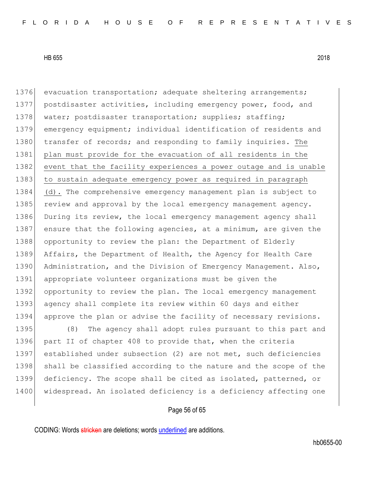1376 evacuation transportation; adequate sheltering arrangements; 1377 postdisaster activities, including emergency power, food, and 1378 | water; postdisaster transportation; supplies; staffing; 1379 emergency equipment; individual identification of residents and 1380 transfer of records; and responding to family inquiries. The 1381 plan must provide for the evacuation of all residents in the 1382 event that the facility experiences a power outage and is unable 1383 to sustain adequate emergency power as required in paragraph 1384 (d). The comprehensive emergency management plan is subject to 1385 review and approval by the local emergency management agency. 1386 During its review, the local emergency management agency shall 1387 ensure that the following agencies, at a minimum, are given the 1388 opportunity to review the plan: the Department of Elderly 1389 Affairs, the Department of Health, the Agency for Health Care 1390 Administration, and the Division of Emergency Management. Also, 1391 appropriate volunteer organizations must be given the 1392 opportunity to review the plan. The local emergency management 1393 agency shall complete its review within 60 days and either 1394 approve the plan or advise the facility of necessary revisions. 1395 (8) The agency shall adopt rules pursuant to this part and 1396 part II of chapter 408 to provide that, when the criteria 1397 established under subsection (2) are not met, such deficiencies

1398 shall be classified according to the nature and the scope of the 1399 deficiency. The scope shall be cited as isolated, patterned, or 1400 widespread. An isolated deficiency is a deficiency affecting one

# Page 56 of 65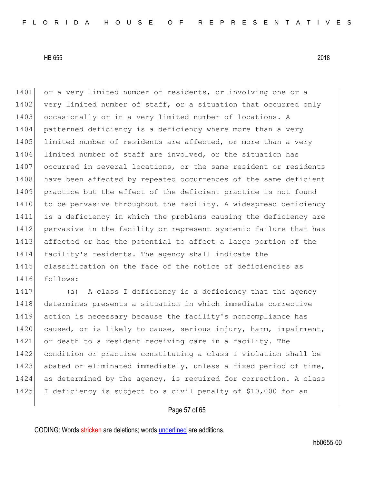1401 or a very limited number of residents, or involving one or a 1402 very limited number of staff, or a situation that occurred only 1403 occasionally or in a very limited number of locations. A 1404 patterned deficiency is a deficiency where more than a very 1405 limited number of residents are affected, or more than a very 1406 limited number of staff are involved, or the situation has 1407 occurred in several locations, or the same resident or residents 1408 have been affected by repeated occurrences of the same deficient 1409 practice but the effect of the deficient practice is not found 1410 to be pervasive throughout the facility. A widespread deficiency 1411 is a deficiency in which the problems causing the deficiency are 1412 pervasive in the facility or represent systemic failure that has 1413 affected or has the potential to affect a large portion of the 1414 facility's residents. The agency shall indicate the 1415 classification on the face of the notice of deficiencies as 1416 follows:

1417 (a) A class I deficiency is a deficiency that the agency 1418 determines presents a situation in which immediate corrective 1419 action is necessary because the facility's noncompliance has 1420 caused, or is likely to cause, serious injury, harm, impairment, 1421 or death to a resident receiving care in a facility. The 1422 condition or practice constituting a class I violation shall be 1423 abated or eliminated immediately, unless a fixed period of time, 1424 as determined by the agency, is required for correction. A class 1425 I deficiency is subject to a civil penalty of \$10,000 for an

# Page 57 of 65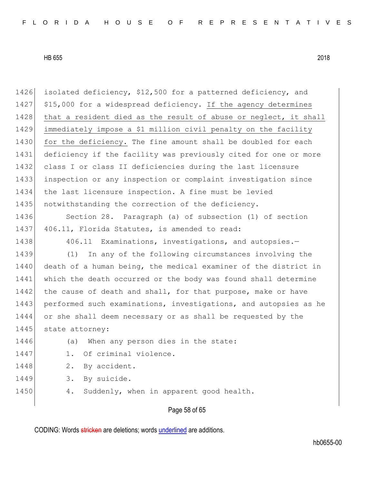1426 isolated deficiency, \$12,500 for a patterned deficiency, and 1427 \$15,000 for a widespread deficiency. If the agency determines 1428 that a resident died as the result of abuse or neglect, it shall 1429 immediately impose a \$1 million civil penalty on the facility 1430 for the deficiency. The fine amount shall be doubled for each 1431 deficiency if the facility was previously cited for one or more 1432 class I or class II deficiencies during the last licensure 1433 inspection or any inspection or complaint investigation since 1434 the last licensure inspection. A fine must be levied 1435 notwithstanding the correction of the deficiency. 1436 Section 28. Paragraph (a) of subsection (1) of section 1437 406.11, Florida Statutes, is amended to read: 1438 406.11 Examinations, investigations, and autopsies.

1439 (1) In any of the following circumstances involving the 1440 death of a human being, the medical examiner of the district in 1441 which the death occurred or the body was found shall determine 1442 the cause of death and shall, for that purpose, make or have 1443 performed such examinations, investigations, and autopsies as he 1444 or she shall deem necessary or as shall be requested by the 1445 state attorney:

- 1446 (a) When any person dies in the state:
- 1447 1. Of criminal violence.
- 1448 2. By accident.
- 1449 3. By suicide.
- 1450 4. Suddenly, when in apparent good health.

### Page 58 of 65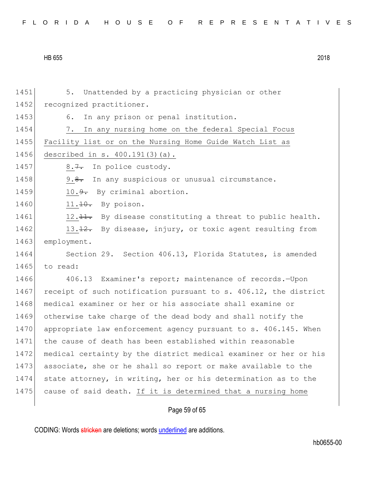|  |  |  |  |  |  |  |  |  |  | FLORIDA HOUSE OF REPRESENTATIVES |  |  |  |  |  |  |  |  |  |  |  |  |  |  |  |
|--|--|--|--|--|--|--|--|--|--|----------------------------------|--|--|--|--|--|--|--|--|--|--|--|--|--|--|--|
|--|--|--|--|--|--|--|--|--|--|----------------------------------|--|--|--|--|--|--|--|--|--|--|--|--|--|--|--|

1451 5. Unattended by a practicing physician or other 1452 recognized practitioner. 1453 6. In any prison or penal institution. 1454 7. In any nursing home on the federal Special Focus 1455 Facility list or on the Nursing Home Guide Watch List as 1456 described in s. 400.191(3)(a). 1457 8.7. In police custody. 1458 9.8. In any suspicious or unusual circumstance. 1459 10.<del>9.</del> By criminal abortion. 1460  $11.10.$  By poison. 1461 12.  $\frac{11}{12}$  By disease constituting a threat to public health. 1462 13.12. By disease, injury, or toxic agent resulting from 1463 employment. 1464 Section 29. Section 406.13, Florida Statutes, is amended 1465 to read: 1466 406.13 Examiner's report; maintenance of records.—Upon 1467 receipt of such notification pursuant to s. 406.12, the district 1468 medical examiner or her or his associate shall examine or 1469 otherwise take charge of the dead body and shall notify the 1470 appropriate law enforcement agency pursuant to s. 406.145. When 1471 the cause of death has been established within reasonable 1472 medical certainty by the district medical examiner or her or his 1473 associate, she or he shall so report or make available to the 1474 state attorney, in writing, her or his determination as to the 1475 cause of said death. If it is determined that a nursing home

# Page 59 of 65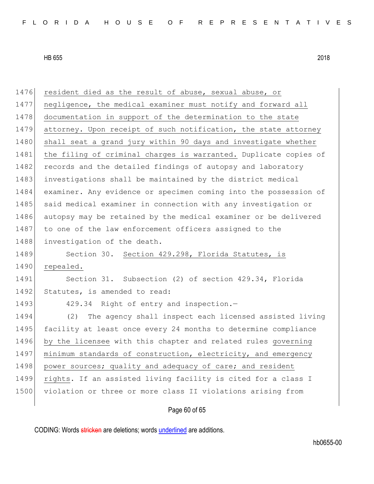| 1476 | resident died as the result of abuse, sexual abuse, or           |
|------|------------------------------------------------------------------|
| 1477 | negligence, the medical examiner must notify and forward all     |
| 1478 | documentation in support of the determination to the state       |
| 1479 | attorney. Upon receipt of such notification, the state attorney  |
| 1480 | shall seat a grand jury within 90 days and investigate whether   |
| 1481 | the filing of criminal charges is warranted. Duplicate copies of |
| 1482 | records and the detailed findings of autopsy and laboratory      |
| 1483 | investigations shall be maintained by the district medical       |
| 1484 | examiner. Any evidence or specimen coming into the possession of |
| 1485 | said medical examiner in connection with any investigation or    |
| 1486 | autopsy may be retained by the medical examiner or be delivered  |
| 1487 | to one of the law enforcement officers assigned to the           |
| 1488 | investigation of the death.                                      |
| 1489 | Section 30. Section 429.298, Florida Statutes, is                |
| 1490 | repealed.                                                        |
| 1491 | Section 31. Subsection (2) of section 429.34, Florida            |
| 1492 | Statutes, is amended to read:                                    |
| 1493 | 429.34 Right of entry and inspection.-                           |
| 1494 | (2)<br>The agency shall inspect each licensed assisted living    |
| 1495 | facility at least once every 24 months to determine compliance   |
| 1496 | by the licensee with this chapter and related rules governing    |
| 1497 | minimum standards of construction, electricity, and emergency    |
| 1498 | power sources; quality and adequacy of care; and resident        |
| 1499 | rights. If an assisted living facility is cited for a class I    |
| 1500 | violation or three or more class II violations arising from      |
|      |                                                                  |

# Page 60 of 65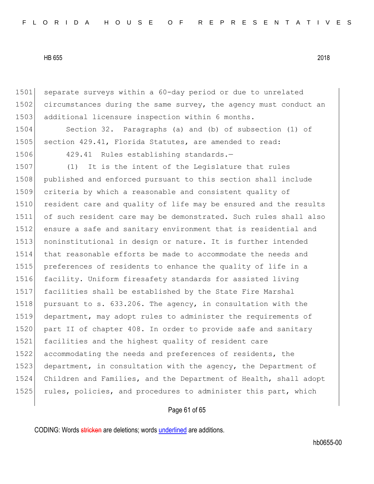1501 separate surveys within a 60-day period or due to unrelated 1502 circumstances during the same survey, the agency must conduct an 1503 additional licensure inspection within 6 months.

1504 Section 32. Paragraphs (a) and (b) of subsection (1) of 1505 section 429.41, Florida Statutes, are amended to read:

1506 429.41 Rules establishing standards.-

1507 (1) It is the intent of the Legislature that rules published and enforced pursuant to this section shall include 1509 criteria by which a reasonable and consistent quality of 1510 resident care and quality of life may be ensured and the results of such resident care may be demonstrated. Such rules shall also ensure a safe and sanitary environment that is residential and noninstitutional in design or nature. It is further intended that reasonable efforts be made to accommodate the needs and preferences of residents to enhance the quality of life in a facility. Uniform firesafety standards for assisted living facilities shall be established by the State Fire Marshal 1518 pursuant to s. 633.206. The agency, in consultation with the department, may adopt rules to administer the requirements of 1520 part II of chapter 408. In order to provide safe and sanitary facilities and the highest quality of resident care accommodating the needs and preferences of residents, the 1523 department, in consultation with the agency, the Department of Children and Families, and the Department of Health, shall adopt 1525 rules, policies, and procedures to administer this part, which

# Page 61 of 65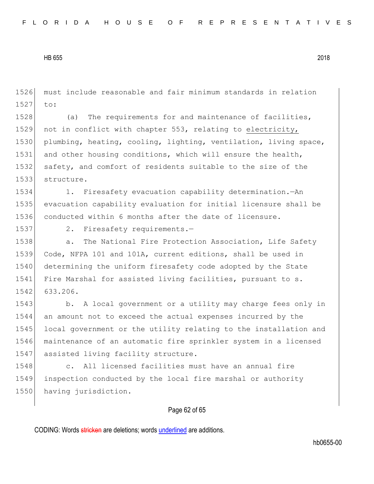1526 must include reasonable and fair minimum standards in relation 1527 to:

1528 (a) The requirements for and maintenance of facilities, 1529 not in conflict with chapter 553, relating to electricity, 1530 plumbing, heating, cooling, lighting, ventilation, living space, 1531 and other housing conditions, which will ensure the health, 1532 safety, and comfort of residents suitable to the size of the 1533 structure.

1534 1. Firesafety evacuation capability determination.—An 1535 evacuation capability evaluation for initial licensure shall be 1536 conducted within 6 months after the date of licensure.

1537 2. Firesafety requirements.-

1538 a. The National Fire Protection Association, Life Safety 1539 Code, NFPA 101 and 101A, current editions, shall be used in 1540 determining the uniform firesafety code adopted by the State 1541 Fire Marshal for assisted living facilities, pursuant to s. 1542 633.206.

1543 b. A local government or a utility may charge fees only in 1544 an amount not to exceed the actual expenses incurred by the 1545 local government or the utility relating to the installation and 1546 maintenance of an automatic fire sprinkler system in a licensed 1547 assisted living facility structure.

1548 c. All licensed facilities must have an annual fire 1549 inspection conducted by the local fire marshal or authority 1550 having jurisdiction.

# Page 62 of 65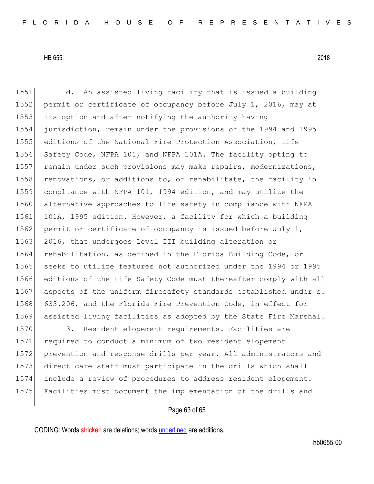1551 d. An assisted living facility that is issued a building 1552 permit or certificate of occupancy before July 1, 2016, may at 1553 its option and after notifying the authority having 1554 jurisdiction, remain under the provisions of the 1994 and 1995 1555 editions of the National Fire Protection Association, Life 1556 Safety Code, NFPA 101, and NFPA 101A. The facility opting to 1557 remain under such provisions may make repairs, modernizations, 1558 renovations, or additions to, or rehabilitate, the facility in 1559 compliance with NFPA 101, 1994 edition, and may utilize the 1560 alternative approaches to life safety in compliance with NFPA 1561 101A, 1995 edition. However, a facility for which a building 1562 permit or certificate of occupancy is issued before July  $1$ , 1563 2016, that undergoes Level III building alteration or 1564 rehabilitation, as defined in the Florida Building Code, or 1565 seeks to utilize features not authorized under the 1994 or 1995 1566 editions of the Life Safety Code must thereafter comply with all 1567 aspects of the uniform firesafety standards established under s. 1568 633.206, and the Florida Fire Prevention Code, in effect for 1569 assisted living facilities as adopted by the State Fire Marshal. 1570 3. Resident elopement requirements.-Facilities are

 required to conduct a minimum of two resident elopement 1572 prevention and response drills per year. All administrators and direct care staff must participate in the drills which shall include a review of procedures to address resident elopement. Facilities must document the implementation of the drills and

# Page 63 of 65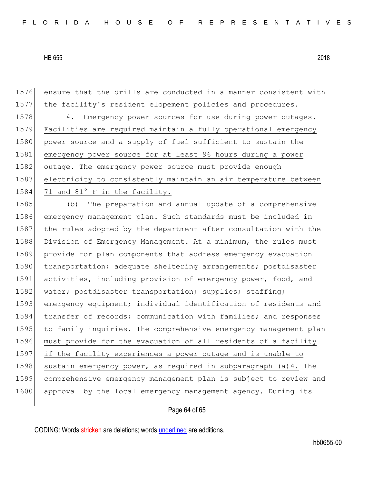1576 ensure that the drills are conducted in a manner consistent with 1577 the facility's resident elopement policies and procedures.

1578 4. Emergency power sources for use during power outages.-1579 Facilities are required maintain a fully operational emergency 1580 power source and a supply of fuel sufficient to sustain the 1581 emergency power source for at least 96 hours during a power 1582 outage. The emergency power source must provide enough 1583 electricity to consistently maintain an air temperature between 1584 71 and 81° F in the facility.

1585 (b) The preparation and annual update of a comprehensive 1586 emergency management plan. Such standards must be included in 1587 the rules adopted by the department after consultation with the 1588 Division of Emergency Management. At a minimum, the rules must 1589 provide for plan components that address emergency evacuation 1590 transportation; adequate sheltering arrangements; postdisaster 1591 activities, including provision of emergency power, food, and 1592 water; postdisaster transportation; supplies; staffing; 1593 emergency equipment; individual identification of residents and 1594 transfer of records; communication with families; and responses 1595 to family inquiries. The comprehensive emergency management plan 1596 must provide for the evacuation of all residents of a facility 1597 if the facility experiences a power outage and is unable to 1598 sustain emergency power, as required in subparagraph (a) 4. The 1599 comprehensive emergency management plan is subject to review and 1600 approval by the local emergency management agency. During its

# Page 64 of 65